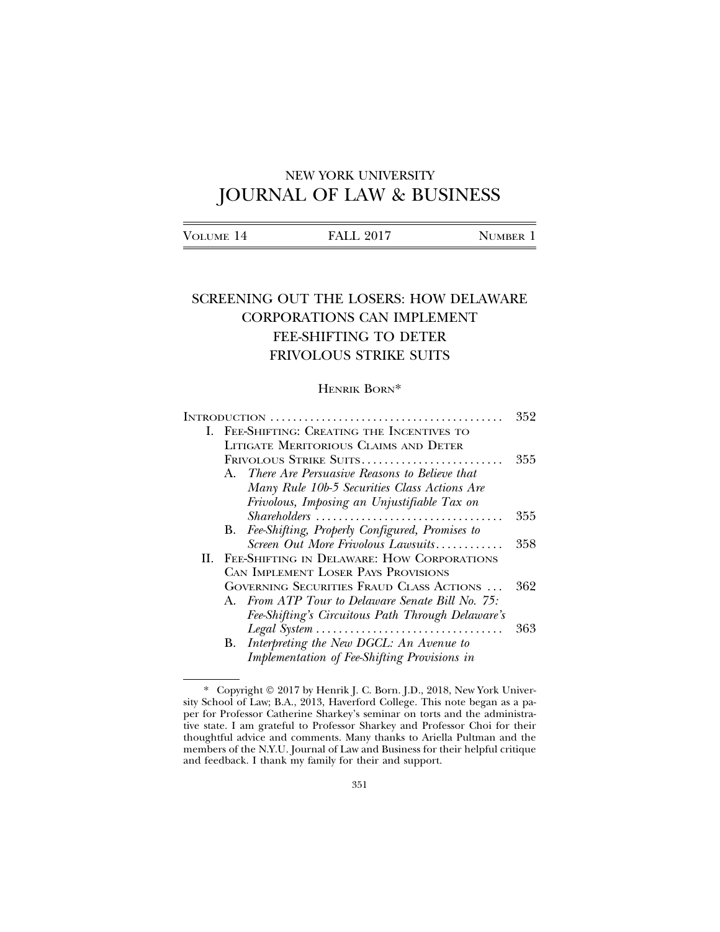# NEW YORK UNIVERSITY JOURNAL OF LAW & BUSINESS

| VOLUME 14 | <b>FALL 2017</b> | <b>NUMBER</b> |
|-----------|------------------|---------------|
|           |                  |               |

## SCREENING OUT THE LOSERS: HOW DELAWARE CORPORATIONS CAN IMPLEMENT FEE-SHIFTING TO DETER FRIVOLOUS STRIKE SUITS

## HENRIK BORN\*

|    |                                                                                             | 352 |  |
|----|---------------------------------------------------------------------------------------------|-----|--|
| L. | FEE-SHIFTING: CREATING THE INCENTIVES TO                                                    |     |  |
|    | LITIGATE MERITORIOUS CLAIMS AND DETER                                                       |     |  |
|    |                                                                                             | 355 |  |
|    | A. There Are Persuasive Reasons to Believe that                                             |     |  |
|    | Many Rule 10b-5 Securities Class Actions Are                                                |     |  |
|    | Frivolous, Imposing an Unjustifiable Tax on                                                 |     |  |
|    | $Shareholders \ldots \ldots \ldots \ldots \ldots \ldots \ldots \ldots \ldots \ldots \ldots$ | 355 |  |
|    | Fee-Shifting, Properly Configured, Promises to<br>В.                                        |     |  |
|    | Screen Out More Frivolous Lawsuits                                                          | 358 |  |
|    | II. FEE-SHIFTING IN DELAWARE: HOW CORPORATIONS                                              |     |  |
|    | CAN IMPLEMENT LOSER PAYS PROVISIONS                                                         |     |  |
|    | GOVERNING SECURITIES FRAUD CLASS ACTIONS                                                    | 362 |  |
|    | A. From ATP Tour to Delaware Senate Bill No. 75:                                            |     |  |
|    | Fee-Shifting's Circuitous Path Through Delaware's                                           |     |  |
|    | Legal System                                                                                | 363 |  |
|    | Interpreting the New DGCL: An Avenue to<br>В.                                               |     |  |
|    | Implementation of Fee-Shifting Provisions in                                                |     |  |

<sup>\*</sup> Copyright © 2017 by Henrik J. C. Born. J.D., 2018, New York University School of Law; B.A., 2013, Haverford College. This note began as a paper for Professor Catherine Sharkey's seminar on torts and the administrative state. I am grateful to Professor Sharkey and Professor Choi for their thoughtful advice and comments. Many thanks to Ariella Pultman and the members of the N.Y.U. Journal of Law and Business for their helpful critique and feedback. I thank my family for their and support.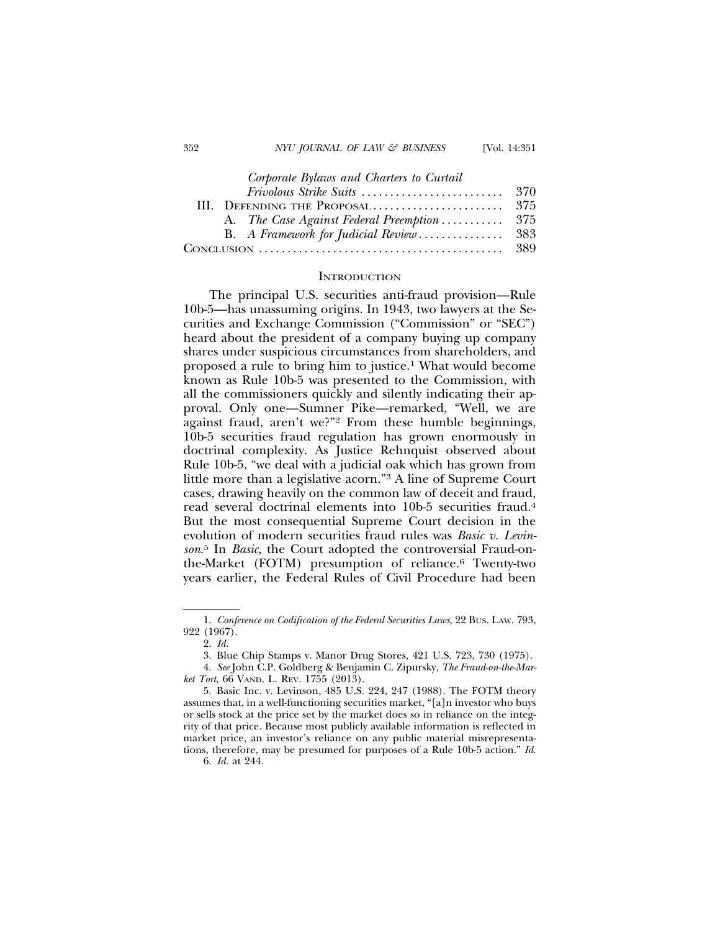*Corporate Bylaws and Charters to Curtail*

|  |  | A. The Case Against Federal Preemption 375 |  |
|--|--|--------------------------------------------|--|
|  |  |                                            |  |
|  |  |                                            |  |

#### **INTRODUCTION**

The principal U.S. securities anti-fraud provision—Rule 10b-5—has unassuming origins. In 1943, two lawyers at the Securities and Exchange Commission ("Commission" or "SEC") heard about the president of a company buying up company shares under suspicious circumstances from shareholders, and proposed a rule to bring him to justice.1 What would become known as Rule 10b-5 was presented to the Commission, with all the commissioners quickly and silently indicating their approval. Only one—Sumner Pike—remarked, "Well, we are against fraud, aren't we?"2 From these humble beginnings, 10b-5 securities fraud regulation has grown enormously in doctrinal complexity. As Justice Rehnquist observed about Rule 10b-5, "we deal with a judicial oak which has grown from little more than a legislative acorn."3 A line of Supreme Court cases, drawing heavily on the common law of deceit and fraud, read several doctrinal elements into 10b-5 securities fraud.4 But the most consequential Supreme Court decision in the evolution of modern securities fraud rules was *Basic v. Levinson*. 5 In *Basic*, the Court adopted the controversial Fraud-onthe-Market (FOTM) presumption of reliance.<sup>6</sup> Twenty-two years earlier, the Federal Rules of Civil Procedure had been

<sup>1.</sup> *Conference on Codification of the Federal Securities Laws*, 22 BUS. LAW. 793, 922 (1967).

<sup>2.</sup> *Id.*

<sup>3.</sup> Blue Chip Stamps v. Manor Drug Stores, 421 U.S. 723, 730 (1975).

<sup>4.</sup> *See* John C.P. Goldberg & Benjamin C. Zipursky, *The Fraud-on-the-Market Tort*, 66 VAND. L. REV. 1755 (2013).

<sup>5.</sup> Basic Inc. v. Levinson, 485 U.S. 224, 247 (1988). The FOTM theory assumes that, in a well-functioning securities market, "[a]n investor who buys or sells stock at the price set by the market does so in reliance on the integrity of that price. Because most publicly available information is reflected in market price, an investor's reliance on any public material misrepresentations, therefore, may be presumed for purposes of a Rule 10b-5 action." *Id*.

<sup>6.</sup> *Id.* at 244.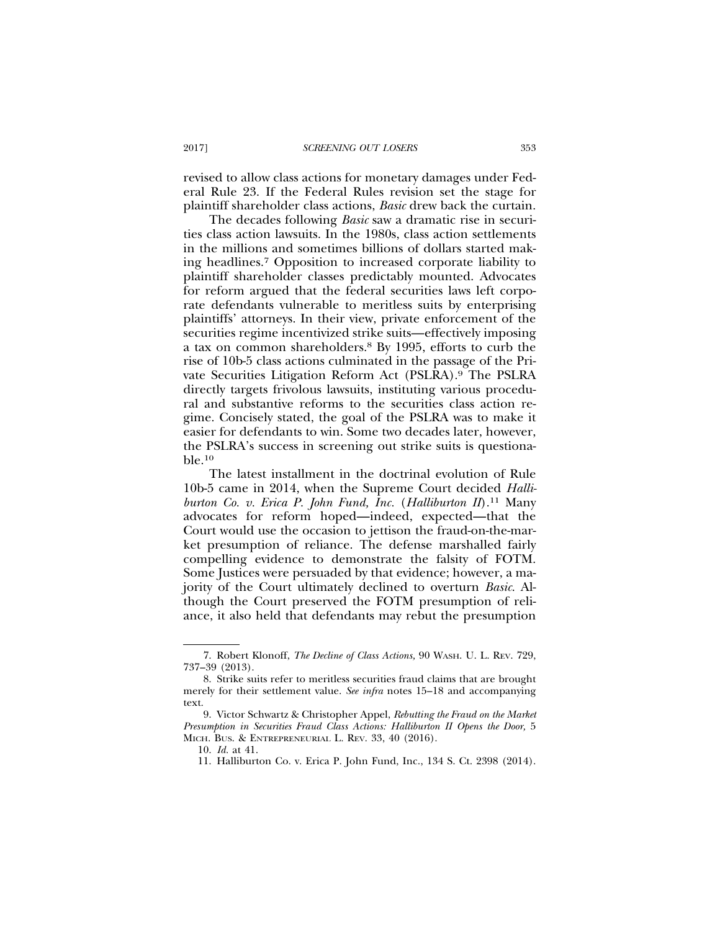revised to allow class actions for monetary damages under Federal Rule 23. If the Federal Rules revision set the stage for plaintiff shareholder class actions, *Basic* drew back the curtain.

The decades following *Basic* saw a dramatic rise in securities class action lawsuits. In the 1980s, class action settlements in the millions and sometimes billions of dollars started making headlines.7 Opposition to increased corporate liability to plaintiff shareholder classes predictably mounted. Advocates for reform argued that the federal securities laws left corporate defendants vulnerable to meritless suits by enterprising plaintiffs' attorneys. In their view, private enforcement of the securities regime incentivized strike suits—effectively imposing a tax on common shareholders.8 By 1995, efforts to curb the rise of 10b-5 class actions culminated in the passage of the Private Securities Litigation Reform Act (PSLRA).9 The PSLRA directly targets frivolous lawsuits, instituting various procedural and substantive reforms to the securities class action regime. Concisely stated, the goal of the PSLRA was to make it easier for defendants to win. Some two decades later, however, the PSLRA's success in screening out strike suits is questionable.10

The latest installment in the doctrinal evolution of Rule 10b-5 came in 2014, when the Supreme Court decided *Halliburton Co. v. Erica P. John Fund, Inc.* (*Halliburton II*).11 Many advocates for reform hoped—indeed, expected—that the Court would use the occasion to jettison the fraud-on-the-market presumption of reliance. The defense marshalled fairly compelling evidence to demonstrate the falsity of FOTM. Some Justices were persuaded by that evidence; however, a majority of the Court ultimately declined to overturn *Basic*. Although the Court preserved the FOTM presumption of reliance, it also held that defendants may rebut the presumption

<sup>7.</sup> Robert Klonoff, *The Decline of Class Actions,* 90 WASH. U. L. REV. 729, 737–39 (2013).

<sup>8.</sup> Strike suits refer to meritless securities fraud claims that are brought merely for their settlement value. *See infra* notes 15–18 and accompanying text.

<sup>9.</sup> Victor Schwartz & Christopher Appel, *Rebutting the Fraud on the Market Presumption in Securities Fraud Class Actions: Halliburton II Opens the Door, 5* MICH. BUS. & ENTREPRENEURIAL L. REV. 33, 40 (2016).

<sup>10.</sup> *Id.* at 41.

<sup>11.</sup> Halliburton Co. v. Erica P. John Fund, Inc., 134 S. Ct. 2398 (2014).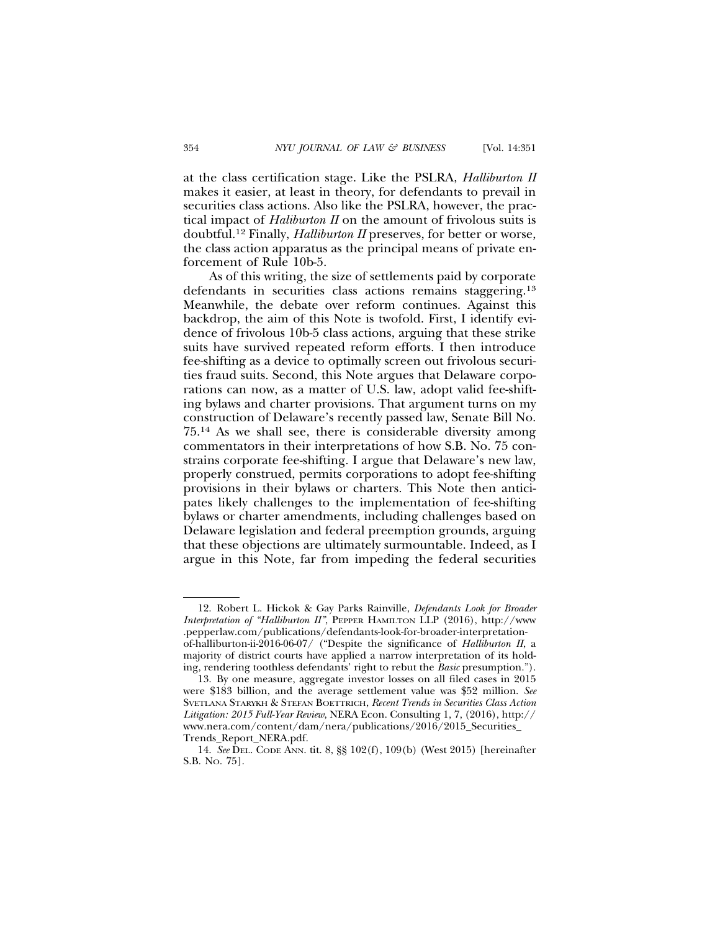at the class certification stage. Like the PSLRA, *Halliburton II* makes it easier, at least in theory, for defendants to prevail in securities class actions. Also like the PSLRA, however, the practical impact of *Haliburton II* on the amount of frivolous suits is doubtful.12 Finally, *Halliburton II* preserves, for better or worse, the class action apparatus as the principal means of private enforcement of Rule 10b-5.

As of this writing, the size of settlements paid by corporate defendants in securities class actions remains staggering.<sup>13</sup> Meanwhile, the debate over reform continues. Against this backdrop, the aim of this Note is twofold. First, I identify evidence of frivolous 10b-5 class actions, arguing that these strike suits have survived repeated reform efforts. I then introduce fee-shifting as a device to optimally screen out frivolous securities fraud suits. Second, this Note argues that Delaware corporations can now, as a matter of U.S. law, adopt valid fee-shifting bylaws and charter provisions. That argument turns on my construction of Delaware's recently passed law, Senate Bill No. 75.14 As we shall see, there is considerable diversity among commentators in their interpretations of how S.B. No. 75 constrains corporate fee-shifting. I argue that Delaware's new law, properly construed, permits corporations to adopt fee-shifting provisions in their bylaws or charters. This Note then anticipates likely challenges to the implementation of fee-shifting bylaws or charter amendments, including challenges based on Delaware legislation and federal preemption grounds, arguing that these objections are ultimately surmountable. Indeed, as I argue in this Note, far from impeding the federal securities

<sup>12.</sup> Robert L. Hickok & Gay Parks Rainville, *Defendants Look for Broader Interpretation of "Halliburton II"*, PEPPER HAMILTON LLP (2016), http://www .pepperlaw.com/publications/defendants-look-for-broader-interpretationof-halliburton-ii-2016-06-07/ ("Despite the significance of *Halliburton II*, a majority of district courts have applied a narrow interpretation of its holding, rendering toothless defendants' right to rebut the *Basic* presumption.").

<sup>13.</sup> By one measure, aggregate investor losses on all filed cases in 2015 were \$183 billion, and the average settlement value was \$52 million. *See* SVETLANA STARYKH & STEFAN BOETTRICH, *Recent Trends in Securities Class Action Litigation: 2015 Full-Year Review*, NERA Econ. Consulting 1, 7, (2016), http:// www.nera.com/content/dam/nera/publications/2016/2015\_Securities\_ Trends\_Report\_NERA.pdf.

<sup>14.</sup> *See* DEL. CODE ANN. tit. 8, §§ 102(f), 109(b) (West 2015) [hereinafter S.B. NO. 75].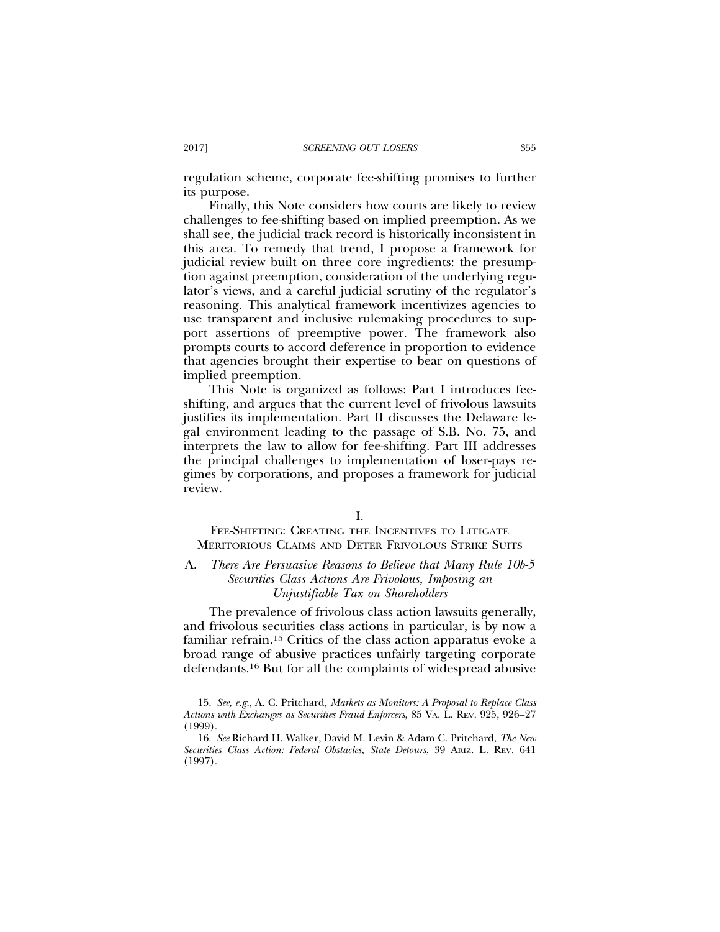regulation scheme, corporate fee-shifting promises to further its purpose.

Finally, this Note considers how courts are likely to review challenges to fee-shifting based on implied preemption. As we shall see, the judicial track record is historically inconsistent in this area. To remedy that trend, I propose a framework for judicial review built on three core ingredients: the presumption against preemption, consideration of the underlying regulator's views, and a careful judicial scrutiny of the regulator's reasoning. This analytical framework incentivizes agencies to use transparent and inclusive rulemaking procedures to support assertions of preemptive power. The framework also prompts courts to accord deference in proportion to evidence that agencies brought their expertise to bear on questions of implied preemption.

This Note is organized as follows: Part I introduces feeshifting, and argues that the current level of frivolous lawsuits justifies its implementation. Part II discusses the Delaware legal environment leading to the passage of S.B. No. 75, and interprets the law to allow for fee-shifting. Part III addresses the principal challenges to implementation of loser-pays regimes by corporations, and proposes a framework for judicial review.

#### I.

FEE-SHIFTING: CREATING THE INCENTIVES TO LITIGATE MERITORIOUS CLAIMS AND DETER FRIVOLOUS STRIKE SUITS

## A. *There Are Persuasive Reasons to Believe that Many Rule 10b-5 Securities Class Actions Are Frivolous, Imposing an Unjustifiable Tax on Shareholders*

The prevalence of frivolous class action lawsuits generally, and frivolous securities class actions in particular, is by now a familiar refrain.15 Critics of the class action apparatus evoke a broad range of abusive practices unfairly targeting corporate defendants.16 But for all the complaints of widespread abusive

<sup>15.</sup> *See, e.g.*, A. C. Pritchard, *Markets as Monitors: A Proposal to Replace Class Actions with Exchanges as Securities Fraud Enforcers*, 85 VA. L. REV. 925, 926–27 (1999).

<sup>16.</sup> *See* Richard H. Walker, David M. Levin & Adam C. Pritchard, *The New Securities Class Action: Federal Obstacles, State Detours*, 39 ARIZ. L. REV. 641 (1997).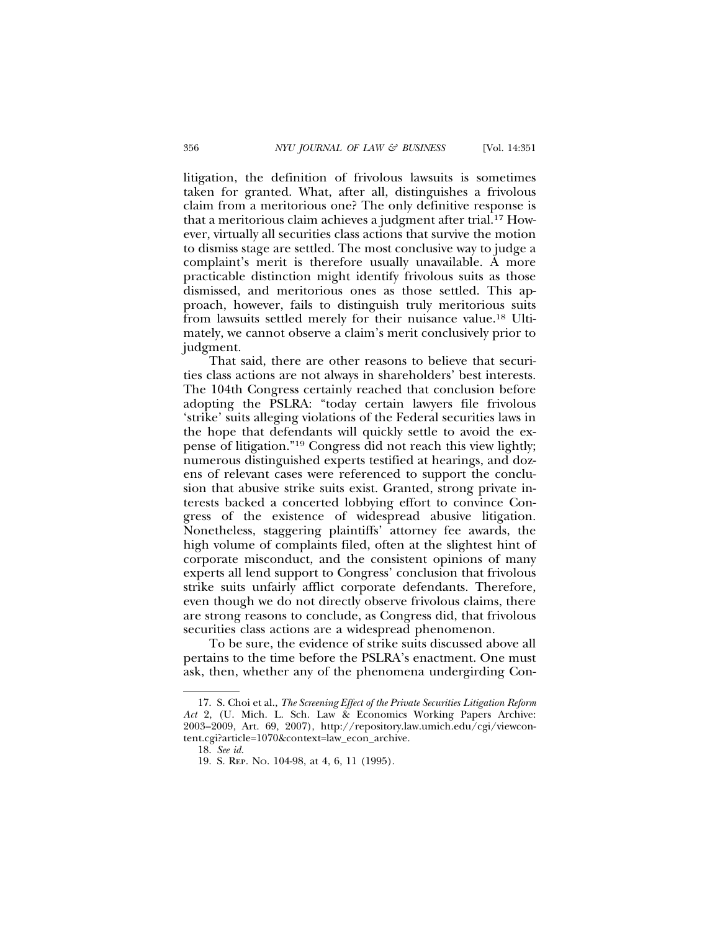litigation, the definition of frivolous lawsuits is sometimes taken for granted. What, after all, distinguishes a frivolous claim from a meritorious one? The only definitive response is that a meritorious claim achieves a judgment after trial.17 However, virtually all securities class actions that survive the motion to dismiss stage are settled. The most conclusive way to judge a complaint's merit is therefore usually unavailable. A more practicable distinction might identify frivolous suits as those dismissed, and meritorious ones as those settled. This approach, however, fails to distinguish truly meritorious suits from lawsuits settled merely for their nuisance value.18 Ultimately, we cannot observe a claim's merit conclusively prior to judgment.

That said, there are other reasons to believe that securities class actions are not always in shareholders' best interests. The 104th Congress certainly reached that conclusion before adopting the PSLRA: "today certain lawyers file frivolous 'strike' suits alleging violations of the Federal securities laws in the hope that defendants will quickly settle to avoid the expense of litigation."19 Congress did not reach this view lightly; numerous distinguished experts testified at hearings, and dozens of relevant cases were referenced to support the conclusion that abusive strike suits exist. Granted, strong private interests backed a concerted lobbying effort to convince Congress of the existence of widespread abusive litigation. Nonetheless, staggering plaintiffs' attorney fee awards, the high volume of complaints filed, often at the slightest hint of corporate misconduct, and the consistent opinions of many experts all lend support to Congress' conclusion that frivolous strike suits unfairly afflict corporate defendants. Therefore, even though we do not directly observe frivolous claims, there are strong reasons to conclude, as Congress did, that frivolous securities class actions are a widespread phenomenon.

To be sure, the evidence of strike suits discussed above all pertains to the time before the PSLRA's enactment. One must ask, then, whether any of the phenomena undergirding Con-

<sup>17.</sup> S. Choi et al., *The Screening Effect of the Private Securities Litigation Reform Act* 2, (U. Mich. L. Sch. Law & Economics Working Papers Archive: 2003–2009, Art. 69, 2007), http://repository.law.umich.edu/cgi/viewcontent.cgi?article=1070&context=law\_econ\_archive.

<sup>18.</sup> *See id.*

<sup>19.</sup> S. REP. NO. 104-98, at 4, 6, 11 (1995).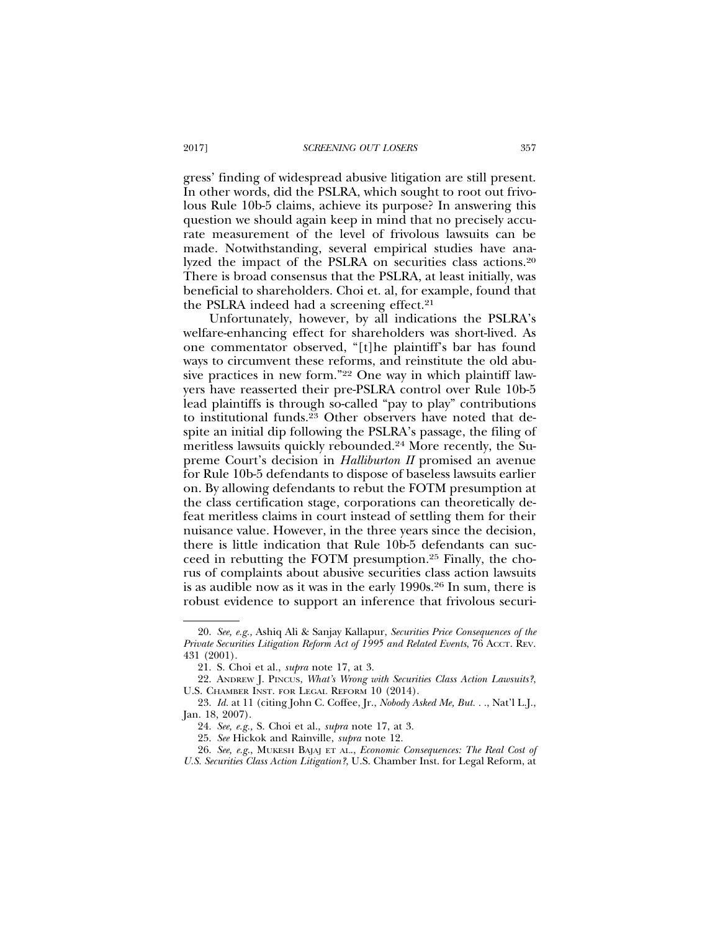gress' finding of widespread abusive litigation are still present. In other words, did the PSLRA, which sought to root out frivolous Rule 10b-5 claims, achieve its purpose? In answering this question we should again keep in mind that no precisely accurate measurement of the level of frivolous lawsuits can be made. Notwithstanding, several empirical studies have analyzed the impact of the PSLRA on securities class actions.20 There is broad consensus that the PSLRA, at least initially, was beneficial to shareholders. Choi et. al, for example, found that the PSLRA indeed had a screening effect.<sup>21</sup>

Unfortunately, however, by all indications the PSLRA's welfare-enhancing effect for shareholders was short-lived. As one commentator observed, "[t]he plaintiff's bar has found ways to circumvent these reforms, and reinstitute the old abusive practices in new form."22 One way in which plaintiff lawyers have reasserted their pre-PSLRA control over Rule 10b-5 lead plaintiffs is through so-called "pay to play" contributions to institutional funds.<sup>23</sup> Other observers have noted that despite an initial dip following the PSLRA's passage, the filing of meritless lawsuits quickly rebounded.24 More recently, the Supreme Court's decision in *Halliburton II* promised an avenue for Rule 10b-5 defendants to dispose of baseless lawsuits earlier on. By allowing defendants to rebut the FOTM presumption at the class certification stage, corporations can theoretically defeat meritless claims in court instead of settling them for their nuisance value. However, in the three years since the decision, there is little indication that Rule 10b-5 defendants can succeed in rebutting the FOTM presumption.25 Finally, the chorus of complaints about abusive securities class action lawsuits is as audible now as it was in the early 1990s.26 In sum, there is robust evidence to support an inference that frivolous securi-

<sup>20.</sup> *See, e.g.,* Ashiq Ali & Sanjay Kallapur, *Securities Price Consequences of the Private Securities Litigation Reform Act of 1995 and Related Events*, 76 ACCT. REV. 431 (2001).

<sup>21.</sup> S. Choi et al., *supra* note 17, at 3.

<sup>22.</sup> ANDREW J. PINCUS, *What's Wrong with Securities Class Action Lawsuits?*, U.S. CHAMBER INST. FOR LEGAL REFORM 10 (2014).

<sup>23.</sup> *Id.* at 11 (citing John C. Coffee, Jr., *Nobody Asked Me, But. . .*, Nat'l L.J., Jan. 18, 2007).

<sup>24.</sup> *See, e.g.,* S. Choi et al., *supra* note 17, at 3.

<sup>25.</sup> *See* Hickok and Rainville, *supra* note 12.

<sup>26.</sup> *See, e.g.*, MUKESH BAJAJ ET AL., *Economic Consequences: The Real Cost of U.S. Securities Class Action Litigation?*, U.S. Chamber Inst. for Legal Reform, at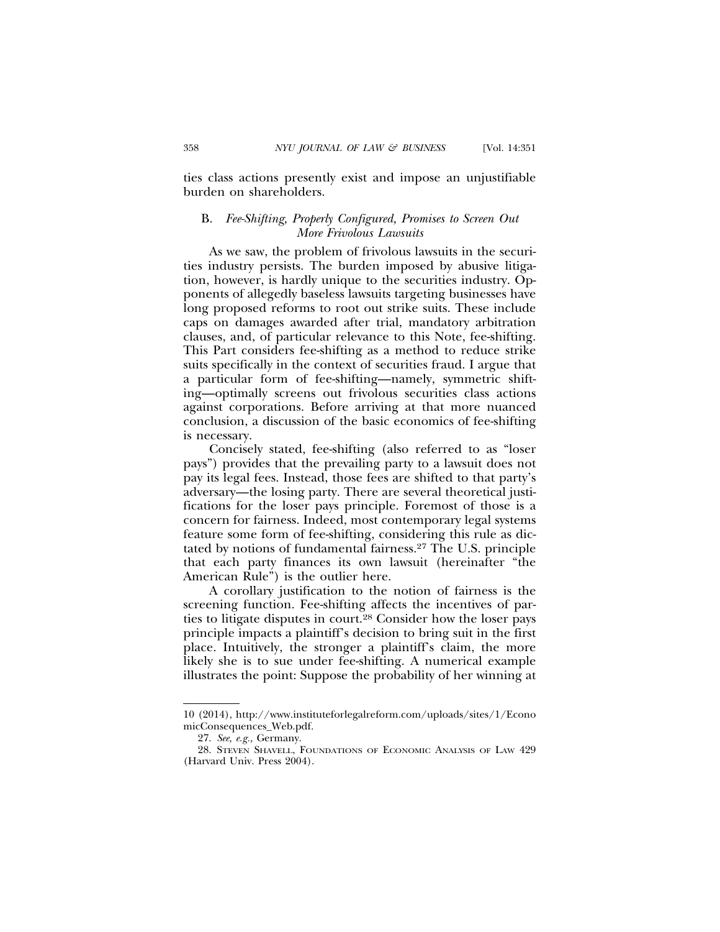ties class actions presently exist and impose an unjustifiable burden on shareholders.

## B. *Fee-Shifting, Properly Configured, Promises to Screen Out More Frivolous Lawsuits*

As we saw, the problem of frivolous lawsuits in the securities industry persists. The burden imposed by abusive litigation, however, is hardly unique to the securities industry. Opponents of allegedly baseless lawsuits targeting businesses have long proposed reforms to root out strike suits. These include caps on damages awarded after trial, mandatory arbitration clauses, and, of particular relevance to this Note, fee-shifting. This Part considers fee-shifting as a method to reduce strike suits specifically in the context of securities fraud. I argue that a particular form of fee-shifting—namely, symmetric shifting—optimally screens out frivolous securities class actions against corporations. Before arriving at that more nuanced conclusion, a discussion of the basic economics of fee-shifting is necessary.

Concisely stated, fee-shifting (also referred to as "loser pays") provides that the prevailing party to a lawsuit does not pay its legal fees. Instead, those fees are shifted to that party's adversary—the losing party. There are several theoretical justifications for the loser pays principle. Foremost of those is a concern for fairness. Indeed, most contemporary legal systems feature some form of fee-shifting, considering this rule as dictated by notions of fundamental fairness.27 The U.S. principle that each party finances its own lawsuit (hereinafter "the American Rule") is the outlier here.

A corollary justification to the notion of fairness is the screening function. Fee-shifting affects the incentives of parties to litigate disputes in court.28 Consider how the loser pays principle impacts a plaintiff's decision to bring suit in the first place. Intuitively, the stronger a plaintiff's claim, the more likely she is to sue under fee-shifting. A numerical example illustrates the point: Suppose the probability of her winning at

<sup>10 (2014),</sup> http://www.instituteforlegalreform.com/uploads/sites/1/Econo micConsequences\_Web.pdf.

<sup>27.</sup> *See, e.g.,* Germany.

<sup>28.</sup> STEVEN SHAVELL, FOUNDATIONS OF ECONOMIC ANALYSIS OF LAW 429 (Harvard Univ. Press 2004).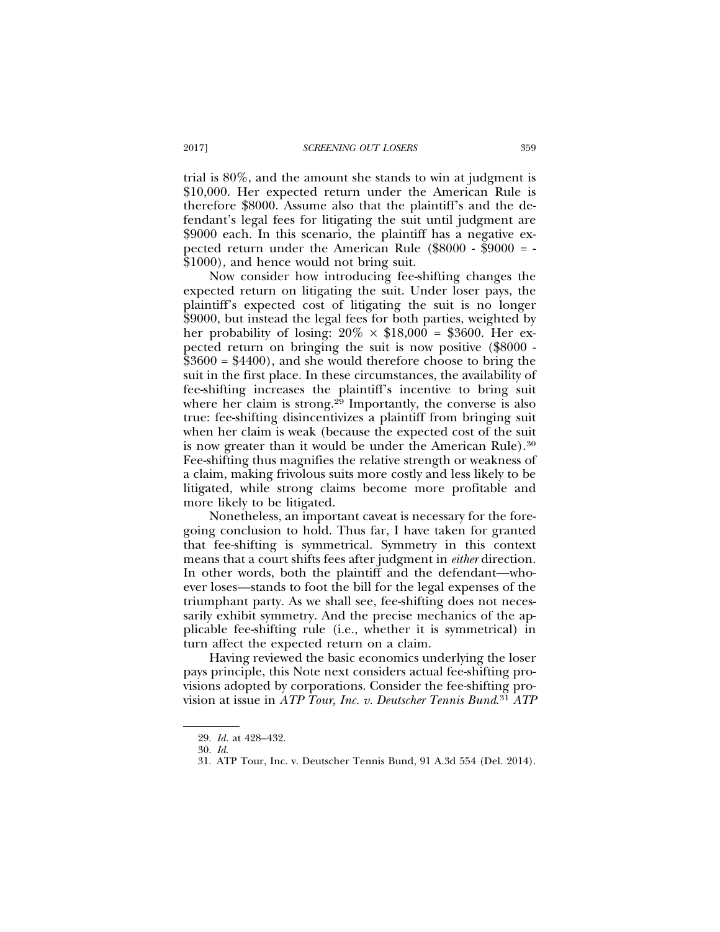trial is 80%, and the amount she stands to win at judgment is \$10,000. Her expected return under the American Rule is therefore \$8000. Assume also that the plaintiff's and the defendant's legal fees for litigating the suit until judgment are \$9000 each. In this scenario, the plaintiff has a negative expected return under the American Rule  $(\$8000 - \$9000 = -$ \$1000), and hence would not bring suit.

Now consider how introducing fee-shifting changes the expected return on litigating the suit. Under loser pays, the plaintiff's expected cost of litigating the suit is no longer \$9000, but instead the legal fees for both parties, weighted by her probability of losing:  $20\% \times \$18,000 = \$3600$ . Her expected return on bringing the suit is now positive (\$8000 -  $$3600 = $4400$ , and she would therefore choose to bring the suit in the first place. In these circumstances, the availability of fee-shifting increases the plaintiff's incentive to bring suit where her claim is strong.<sup>29</sup> Importantly, the converse is also true: fee-shifting disincentivizes a plaintiff from bringing suit when her claim is weak (because the expected cost of the suit is now greater than it would be under the American Rule).<sup>30</sup> Fee-shifting thus magnifies the relative strength or weakness of a claim, making frivolous suits more costly and less likely to be litigated, while strong claims become more profitable and more likely to be litigated.

Nonetheless, an important caveat is necessary for the foregoing conclusion to hold. Thus far, I have taken for granted that fee-shifting is symmetrical. Symmetry in this context means that a court shifts fees after judgment in *either* direction. In other words, both the plaintiff and the defendant—whoever loses—stands to foot the bill for the legal expenses of the triumphant party. As we shall see, fee-shifting does not necessarily exhibit symmetry. And the precise mechanics of the applicable fee-shifting rule (i.e., whether it is symmetrical) in turn affect the expected return on a claim.

Having reviewed the basic economics underlying the loser pays principle, this Note next considers actual fee-shifting provisions adopted by corporations. Consider the fee-shifting provision at issue in *ATP Tour, Inc. v. Deutscher Tennis Bund*. <sup>31</sup> *ATP*

<sup>29.</sup> *Id.* at 428–432.

<sup>30.</sup> *Id.*

<sup>31.</sup> ATP Tour, Inc. v. Deutscher Tennis Bund, 91 A.3d 554 (Del. 2014).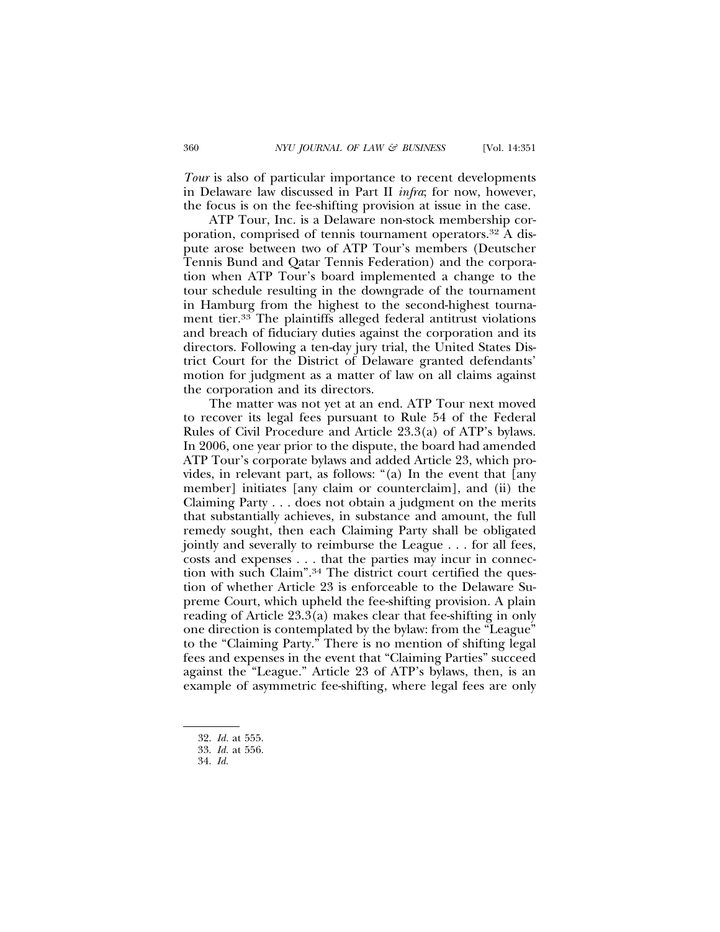*Tour* is also of particular importance to recent developments in Delaware law discussed in Part II *infra*; for now, however, the focus is on the fee-shifting provision at issue in the case.

ATP Tour, Inc. is a Delaware non-stock membership corporation, comprised of tennis tournament operators.32 A dispute arose between two of ATP Tour's members (Deutscher Tennis Bund and Qatar Tennis Federation) and the corporation when ATP Tour's board implemented a change to the tour schedule resulting in the downgrade of the tournament in Hamburg from the highest to the second-highest tournament tier.33 The plaintiffs alleged federal antitrust violations and breach of fiduciary duties against the corporation and its directors. Following a ten-day jury trial, the United States District Court for the District of Delaware granted defendants' motion for judgment as a matter of law on all claims against the corporation and its directors.

The matter was not yet at an end. ATP Tour next moved to recover its legal fees pursuant to Rule 54 of the Federal Rules of Civil Procedure and Article 23.3(a) of ATP's bylaws. In 2006, one year prior to the dispute, the board had amended ATP Tour's corporate bylaws and added Article 23, which provides, in relevant part, as follows: "(a) In the event that [any member] initiates [any claim or counterclaim], and (ii) the Claiming Party . . . does not obtain a judgment on the merits that substantially achieves, in substance and amount, the full remedy sought, then each Claiming Party shall be obligated jointly and severally to reimburse the League . . . for all fees, costs and expenses . . . that the parties may incur in connection with such Claim".34 The district court certified the question of whether Article 23 is enforceable to the Delaware Supreme Court, which upheld the fee-shifting provision. A plain reading of Article 23.3(a) makes clear that fee-shifting in only one direction is contemplated by the bylaw: from the "League" to the "Claiming Party." There is no mention of shifting legal fees and expenses in the event that "Claiming Parties" succeed against the "League." Article 23 of ATP's bylaws, then, is an example of asymmetric fee-shifting, where legal fees are only

<sup>32.</sup> *Id.* at 555.

<sup>33.</sup> *Id.* at 556.

<sup>34.</sup> *Id.*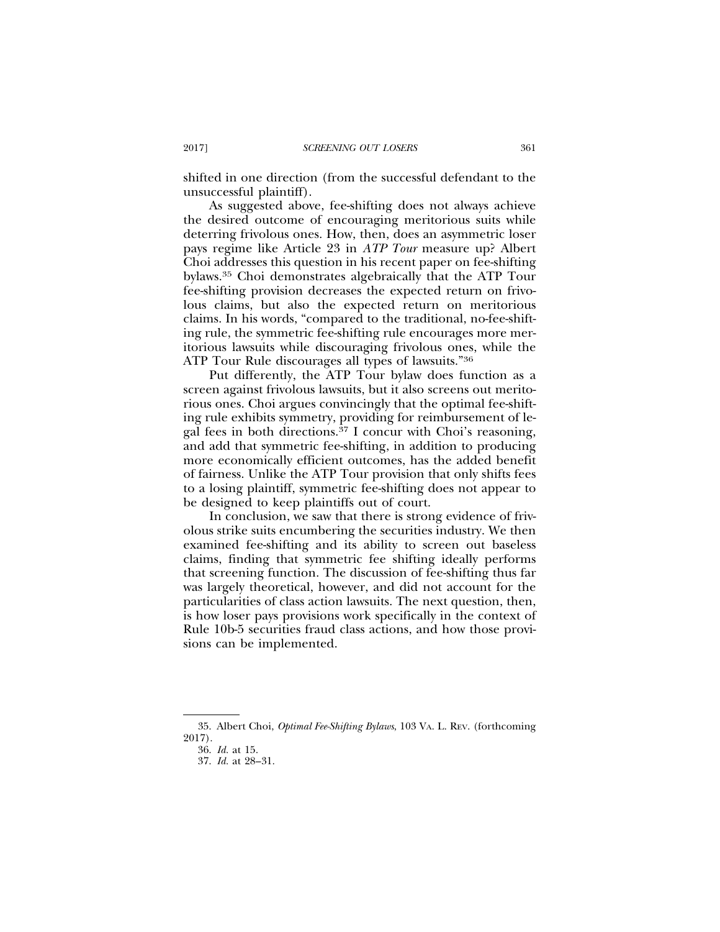shifted in one direction (from the successful defendant to the unsuccessful plaintiff).

As suggested above, fee-shifting does not always achieve the desired outcome of encouraging meritorious suits while deterring frivolous ones. How, then, does an asymmetric loser pays regime like Article 23 in *ATP Tour* measure up? Albert Choi addresses this question in his recent paper on fee-shifting bylaws.35 Choi demonstrates algebraically that the ATP Tour fee-shifting provision decreases the expected return on frivolous claims, but also the expected return on meritorious claims. In his words, "compared to the traditional, no-fee-shifting rule, the symmetric fee-shifting rule encourages more meritorious lawsuits while discouraging frivolous ones, while the ATP Tour Rule discourages all types of lawsuits."36

Put differently, the ATP Tour bylaw does function as a screen against frivolous lawsuits, but it also screens out meritorious ones. Choi argues convincingly that the optimal fee-shifting rule exhibits symmetry, providing for reimbursement of legal fees in both directions.37 I concur with Choi's reasoning, and add that symmetric fee-shifting, in addition to producing more economically efficient outcomes, has the added benefit of fairness. Unlike the ATP Tour provision that only shifts fees to a losing plaintiff, symmetric fee-shifting does not appear to be designed to keep plaintiffs out of court.

In conclusion, we saw that there is strong evidence of frivolous strike suits encumbering the securities industry. We then examined fee-shifting and its ability to screen out baseless claims, finding that symmetric fee shifting ideally performs that screening function. The discussion of fee-shifting thus far was largely theoretical, however, and did not account for the particularities of class action lawsuits. The next question, then, is how loser pays provisions work specifically in the context of Rule 10b-5 securities fraud class actions, and how those provisions can be implemented.

<sup>35.</sup> Albert Choi, *Optimal Fee-Shifting Bylaws*, 103 VA. L. REV. (forthcoming 2017).

<sup>36.</sup> *Id.* at 15.

<sup>37.</sup> *Id.* at 28–31.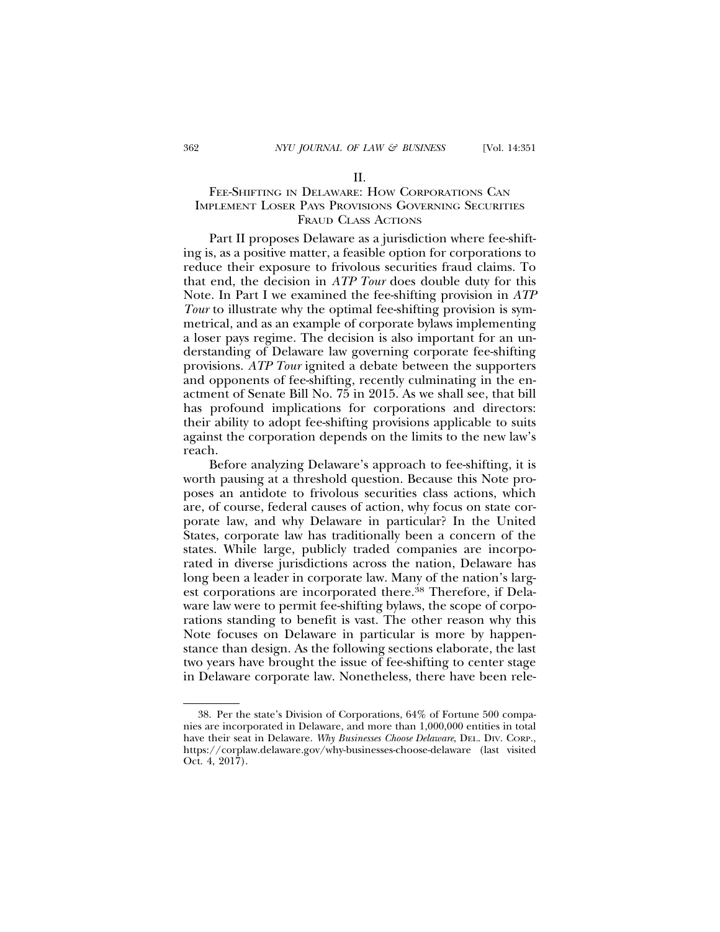#### II.

## FEE-SHIFTING IN DELAWARE: HOW CORPORATIONS CAN IMPLEMENT LOSER PAYS PROVISIONS GOVERNING SECURITIES FRAUD CLASS ACTIONS

Part II proposes Delaware as a jurisdiction where fee-shifting is, as a positive matter, a feasible option for corporations to reduce their exposure to frivolous securities fraud claims. To that end, the decision in *ATP Tour* does double duty for this Note. In Part I we examined the fee-shifting provision in *ATP Tour* to illustrate why the optimal fee-shifting provision is symmetrical, and as an example of corporate bylaws implementing a loser pays regime. The decision is also important for an understanding of Delaware law governing corporate fee-shifting provisions. *ATP Tour* ignited a debate between the supporters and opponents of fee-shifting, recently culminating in the enactment of Senate Bill No. 75 in 2015. As we shall see, that bill has profound implications for corporations and directors: their ability to adopt fee-shifting provisions applicable to suits against the corporation depends on the limits to the new law's reach.

Before analyzing Delaware's approach to fee-shifting, it is worth pausing at a threshold question. Because this Note proposes an antidote to frivolous securities class actions, which are, of course, federal causes of action, why focus on state corporate law, and why Delaware in particular? In the United States, corporate law has traditionally been a concern of the states. While large, publicly traded companies are incorporated in diverse jurisdictions across the nation, Delaware has long been a leader in corporate law. Many of the nation's largest corporations are incorporated there.38 Therefore, if Delaware law were to permit fee-shifting bylaws, the scope of corporations standing to benefit is vast. The other reason why this Note focuses on Delaware in particular is more by happenstance than design. As the following sections elaborate, the last two years have brought the issue of fee-shifting to center stage in Delaware corporate law. Nonetheless, there have been rele-

<sup>38.</sup> Per the state's Division of Corporations, 64% of Fortune 500 companies are incorporated in Delaware, and more than 1,000,000 entities in total have their seat in Delaware. *Why Businesses Choose Delaware*, DEL. DIV. CORP., https://corplaw.delaware.gov/why-businesses-choose-delaware (last visited Oct. 4, 2017).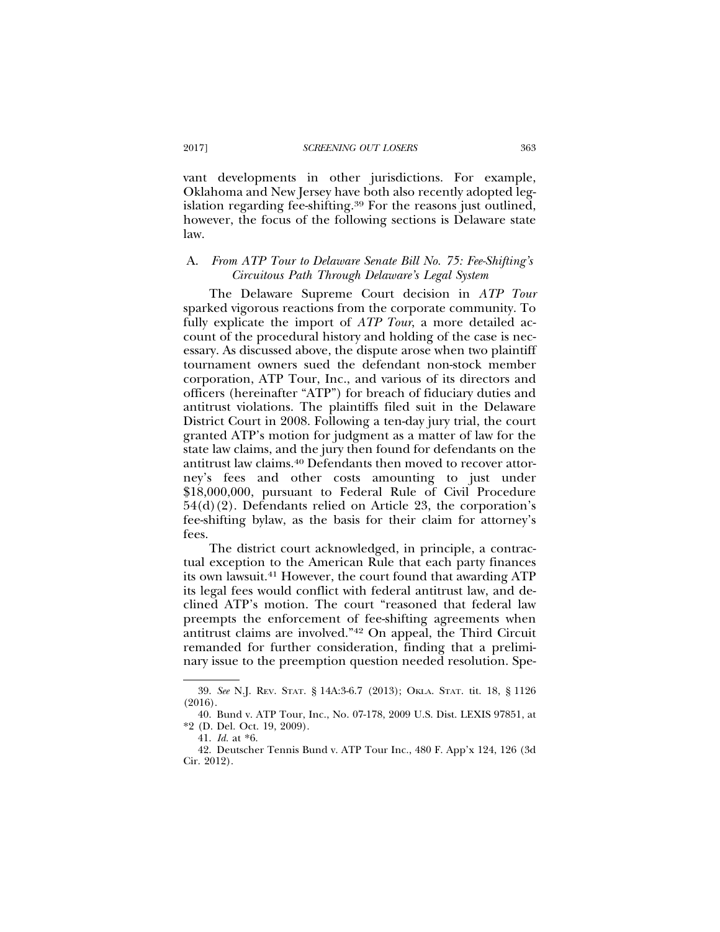vant developments in other jurisdictions. For example, Oklahoma and New Jersey have both also recently adopted legislation regarding fee-shifting.39 For the reasons just outlined, however, the focus of the following sections is Delaware state law.

## A. *From ATP Tour to Delaware Senate Bill No. 75: Fee-Shifting's Circuitous Path Through Delaware's Legal System*

The Delaware Supreme Court decision in *ATP Tour* sparked vigorous reactions from the corporate community. To fully explicate the import of *ATP Tour*, a more detailed account of the procedural history and holding of the case is necessary. As discussed above, the dispute arose when two plaintiff tournament owners sued the defendant non-stock member corporation, ATP Tour, Inc., and various of its directors and officers (hereinafter "ATP") for breach of fiduciary duties and antitrust violations. The plaintiffs filed suit in the Delaware District Court in 2008. Following a ten-day jury trial, the court granted ATP's motion for judgment as a matter of law for the state law claims, and the jury then found for defendants on the antitrust law claims.40 Defendants then moved to recover attorney's fees and other costs amounting to just under \$18,000,000, pursuant to Federal Rule of Civil Procedure 54(d)(2). Defendants relied on Article 23, the corporation's fee-shifting bylaw, as the basis for their claim for attorney's fees.

The district court acknowledged, in principle, a contractual exception to the American Rule that each party finances its own lawsuit.41 However, the court found that awarding ATP its legal fees would conflict with federal antitrust law, and declined ATP's motion. The court "reasoned that federal law preempts the enforcement of fee-shifting agreements when antitrust claims are involved."42 On appeal, the Third Circuit remanded for further consideration, finding that a preliminary issue to the preemption question needed resolution. Spe-

<sup>39.</sup> *See* N.J. REV. STAT. § 14A:3-6.7 (2013); OKLA. STAT. tit. 18, § 1126  $(2016)$ .

<sup>40.</sup> Bund v. ATP Tour, Inc., No. 07-178, 2009 U.S. Dist. LEXIS 97851, at \*2 (D. Del. Oct. 19, 2009).

<sup>41.</sup> *Id.* at \*6.

<sup>42.</sup> Deutscher Tennis Bund v. ATP Tour Inc., 480 F. App'x 124, 126 (3d Cir. 2012).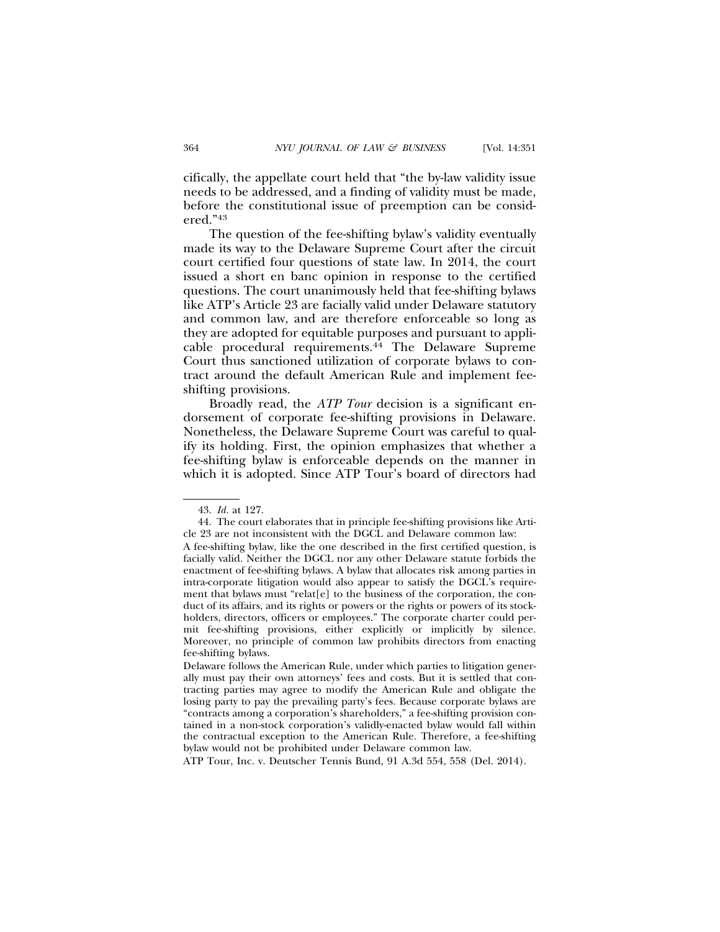cifically, the appellate court held that "the by-law validity issue needs to be addressed, and a finding of validity must be made, before the constitutional issue of preemption can be considered."43

The question of the fee-shifting bylaw's validity eventually made its way to the Delaware Supreme Court after the circuit court certified four questions of state law. In 2014, the court issued a short en banc opinion in response to the certified questions. The court unanimously held that fee-shifting bylaws like ATP's Article 23 are facially valid under Delaware statutory and common law, and are therefore enforceable so long as they are adopted for equitable purposes and pursuant to applicable procedural requirements.44 The Delaware Supreme Court thus sanctioned utilization of corporate bylaws to contract around the default American Rule and implement feeshifting provisions.

Broadly read, the *ATP Tour* decision is a significant endorsement of corporate fee-shifting provisions in Delaware. Nonetheless, the Delaware Supreme Court was careful to qualify its holding. First, the opinion emphasizes that whether a fee-shifting bylaw is enforceable depends on the manner in which it is adopted. Since ATP Tour's board of directors had

ATP Tour, Inc. v. Deutscher Tennis Bund, 91 A.3d 554, 558 (Del. 2014).

<sup>43.</sup> *Id.* at 127.

<sup>44.</sup> The court elaborates that in principle fee-shifting provisions like Article 23 are not inconsistent with the DGCL and Delaware common law:

A fee-shifting bylaw, like the one described in the first certified question, is facially valid. Neither the DGCL nor any other Delaware statute forbids the enactment of fee-shifting bylaws. A bylaw that allocates risk among parties in intra-corporate litigation would also appear to satisfy the DGCL's requirement that bylaws must "relat[e] to the business of the corporation, the conduct of its affairs, and its rights or powers or the rights or powers of its stockholders, directors, officers or employees." The corporate charter could permit fee-shifting provisions, either explicitly or implicitly by silence. Moreover, no principle of common law prohibits directors from enacting fee-shifting bylaws.

Delaware follows the American Rule, under which parties to litigation generally must pay their own attorneys' fees and costs. But it is settled that contracting parties may agree to modify the American Rule and obligate the losing party to pay the prevailing party's fees. Because corporate bylaws are "contracts among a corporation's shareholders," a fee-shifting provision contained in a non-stock corporation's validly-enacted bylaw would fall within the contractual exception to the American Rule. Therefore, a fee-shifting bylaw would not be prohibited under Delaware common law.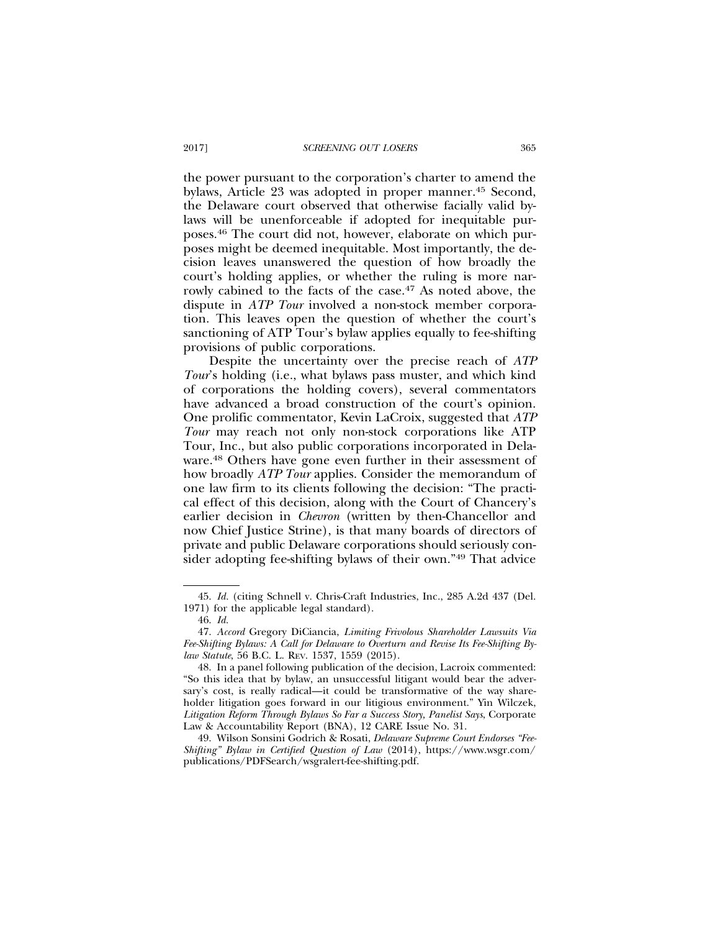the power pursuant to the corporation's charter to amend the bylaws, Article 23 was adopted in proper manner.<sup>45</sup> Second, the Delaware court observed that otherwise facially valid bylaws will be unenforceable if adopted for inequitable purposes.46 The court did not, however, elaborate on which purposes might be deemed inequitable. Most importantly, the decision leaves unanswered the question of how broadly the court's holding applies, or whether the ruling is more narrowly cabined to the facts of the case.<sup>47</sup> As noted above, the dispute in *ATP Tour* involved a non-stock member corporation. This leaves open the question of whether the court's sanctioning of ATP Tour's bylaw applies equally to fee-shifting provisions of public corporations.

Despite the uncertainty over the precise reach of *ATP Tour*'s holding (i.e., what bylaws pass muster, and which kind of corporations the holding covers), several commentators have advanced a broad construction of the court's opinion. One prolific commentator, Kevin LaCroix, suggested that *ATP Tour* may reach not only non-stock corporations like ATP Tour, Inc., but also public corporations incorporated in Delaware.48 Others have gone even further in their assessment of how broadly *ATP Tour* applies. Consider the memorandum of one law firm to its clients following the decision: "The practical effect of this decision, along with the Court of Chancery's earlier decision in *Chevron* (written by then-Chancellor and now Chief Justice Strine), is that many boards of directors of private and public Delaware corporations should seriously consider adopting fee-shifting bylaws of their own."49 That advice

<sup>45.</sup> *Id.* (citing Schnell v. Chris-Craft Industries, Inc., 285 A.2d 437 (Del. 1971) for the applicable legal standard).

<sup>46.</sup> *Id.*

<sup>47.</sup> *Accord* Gregory DiCiancia, *Limiting Frivolous Shareholder Lawsuits Via Fee-Shifting Bylaws: A Call for Delaware to Overturn and Revise Its Fee-Shifting Bylaw Statute*, 56 B.C. L. REV. 1537, 1559 (2015).

<sup>48.</sup> In a panel following publication of the decision, Lacroix commented: "So this idea that by bylaw, an unsuccessful litigant would bear the adversary's cost, is really radical—it could be transformative of the way shareholder litigation goes forward in our litigious environment." Yin Wilczek, *Litigation Reform Through Bylaws So Far a Success Story, Panelist Says*, Corporate Law & Accountability Report (BNA), 12 CARE Issue No. 31.

<sup>49.</sup> Wilson Sonsini Godrich & Rosati, *Delaware Supreme Court Endorses "Fee-Shifting" Bylaw in Certified Question of Law* (2014), https://www.wsgr.com/ publications/PDFSearch/wsgralert-fee-shifting.pdf.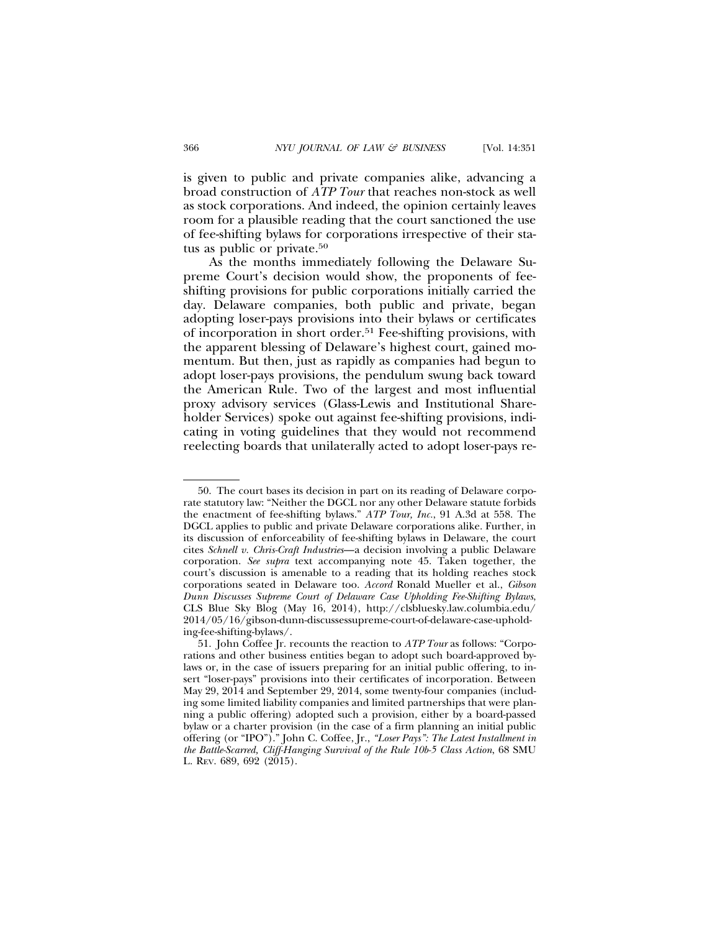is given to public and private companies alike, advancing a broad construction of *ATP Tour* that reaches non-stock as well as stock corporations. And indeed, the opinion certainly leaves room for a plausible reading that the court sanctioned the use of fee-shifting bylaws for corporations irrespective of their status as public or private.50

As the months immediately following the Delaware Supreme Court's decision would show, the proponents of feeshifting provisions for public corporations initially carried the day. Delaware companies, both public and private, began adopting loser-pays provisions into their bylaws or certificates of incorporation in short order.51 Fee-shifting provisions, with the apparent blessing of Delaware's highest court, gained momentum. But then, just as rapidly as companies had begun to adopt loser-pays provisions, the pendulum swung back toward the American Rule. Two of the largest and most influential proxy advisory services (Glass-Lewis and Institutional Shareholder Services) spoke out against fee-shifting provisions, indicating in voting guidelines that they would not recommend reelecting boards that unilaterally acted to adopt loser-pays re-

<sup>50.</sup> The court bases its decision in part on its reading of Delaware corporate statutory law: "Neither the DGCL nor any other Delaware statute forbids the enactment of fee-shifting bylaws." *ATP Tour, Inc.*, 91 A.3d at 558. The DGCL applies to public and private Delaware corporations alike. Further, in its discussion of enforceability of fee-shifting bylaws in Delaware, the court cites *Schnell v. Chris-Craft Industries*—a decision involving a public Delaware corporation. *See supra* text accompanying note 45. Taken together, the court's discussion is amenable to a reading that its holding reaches stock corporations seated in Delaware too. *Accord* Ronald Mueller et al., *Gibson Dunn Discusses Supreme Court of Delaware Case Upholding Fee-Shifting Bylaws*, CLS Blue Sky Blog (May 16, 2014), http://clsbluesky.law.columbia.edu/ 2014/05/16/gibson-dunn-discussessupreme-court-of-delaware-case-upholding-fee-shifting-bylaws/.

<sup>51.</sup> John Coffee Jr. recounts the reaction to *ATP Tour* as follows: "Corporations and other business entities began to adopt such board-approved bylaws or, in the case of issuers preparing for an initial public offering, to insert "loser-pays" provisions into their certificates of incorporation. Between May 29, 2014 and September 29, 2014, some twenty-four companies (including some limited liability companies and limited partnerships that were planning a public offering) adopted such a provision, either by a board-passed bylaw or a charter provision (in the case of a firm planning an initial public offering (or "IPO")." John C. Coffee, Jr., *"Loser Pays": The Latest Installment in the Battle-Scarred, Cliff-Hanging Survival of the Rule 10b-5 Class Action*, 68 SMU L. REV. 689, 692 (2015).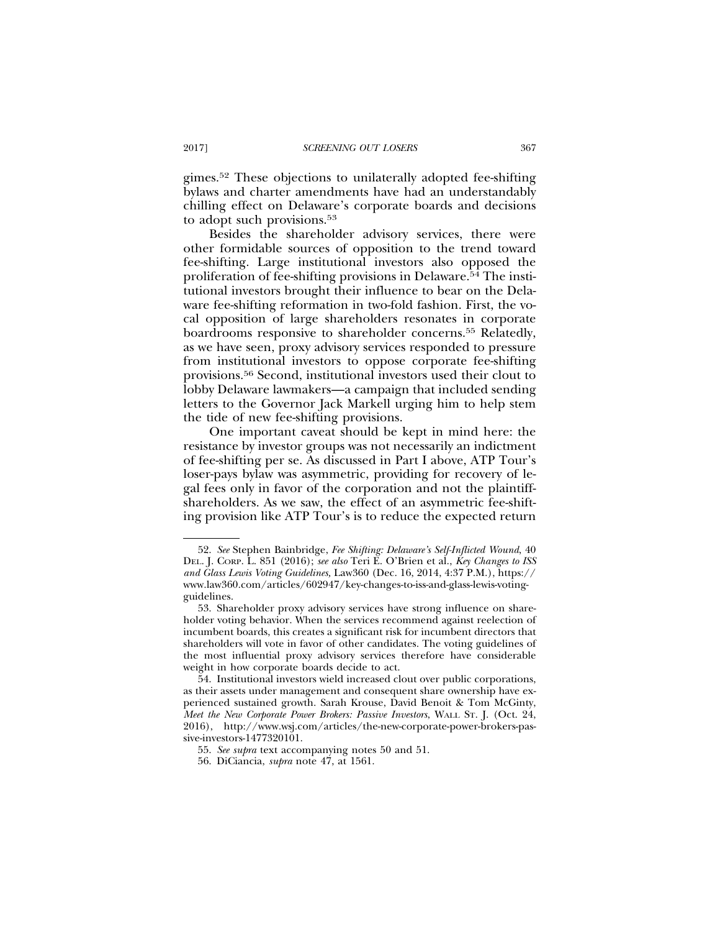gimes.52 These objections to unilaterally adopted fee-shifting bylaws and charter amendments have had an understandably chilling effect on Delaware's corporate boards and decisions to adopt such provisions.53

Besides the shareholder advisory services, there were other formidable sources of opposition to the trend toward fee-shifting. Large institutional investors also opposed the proliferation of fee-shifting provisions in Delaware.54 The institutional investors brought their influence to bear on the Delaware fee-shifting reformation in two-fold fashion. First, the vocal opposition of large shareholders resonates in corporate boardrooms responsive to shareholder concerns.55 Relatedly, as we have seen, proxy advisory services responded to pressure from institutional investors to oppose corporate fee-shifting provisions.56 Second, institutional investors used their clout to lobby Delaware lawmakers—a campaign that included sending letters to the Governor Jack Markell urging him to help stem the tide of new fee-shifting provisions.

One important caveat should be kept in mind here: the resistance by investor groups was not necessarily an indictment of fee-shifting per se. As discussed in Part I above, ATP Tour's loser-pays bylaw was asymmetric, providing for recovery of legal fees only in favor of the corporation and not the plaintiffshareholders. As we saw, the effect of an asymmetric fee-shifting provision like ATP Tour's is to reduce the expected return

<sup>52.</sup> *See* Stephen Bainbridge, *Fee Shifting: Delaware's Self-Inflicted Wound*, 40 DEL. J. CORP. L. 851 (2016); *see also* Teri E. O'Brien et al., *Key Changes to ISS and Glass Lewis Voting Guidelines,* Law360 (Dec. 16, 2014, 4:37 P.M.), https:// www.law360.com/articles/602947/key-changes-to-iss-and-glass-lewis-votingguidelines.

<sup>53.</sup> Shareholder proxy advisory services have strong influence on shareholder voting behavior. When the services recommend against reelection of incumbent boards, this creates a significant risk for incumbent directors that shareholders will vote in favor of other candidates. The voting guidelines of the most influential proxy advisory services therefore have considerable weight in how corporate boards decide to act.

<sup>54.</sup> Institutional investors wield increased clout over public corporations, as their assets under management and consequent share ownership have experienced sustained growth. Sarah Krouse, David Benoit & Tom McGinty, *Meet the New Corporate Power Brokers: Passive Investors*, WALL ST. J. (Oct. 24, 2016), http://www.wsj.com/articles/the-new-corporate-power-brokers-passive-investors-1477320101.

<sup>55.</sup> *See supra* text accompanying notes 50 and 51.

<sup>56.</sup> DiCiancia, *supra* note 47, at 1561.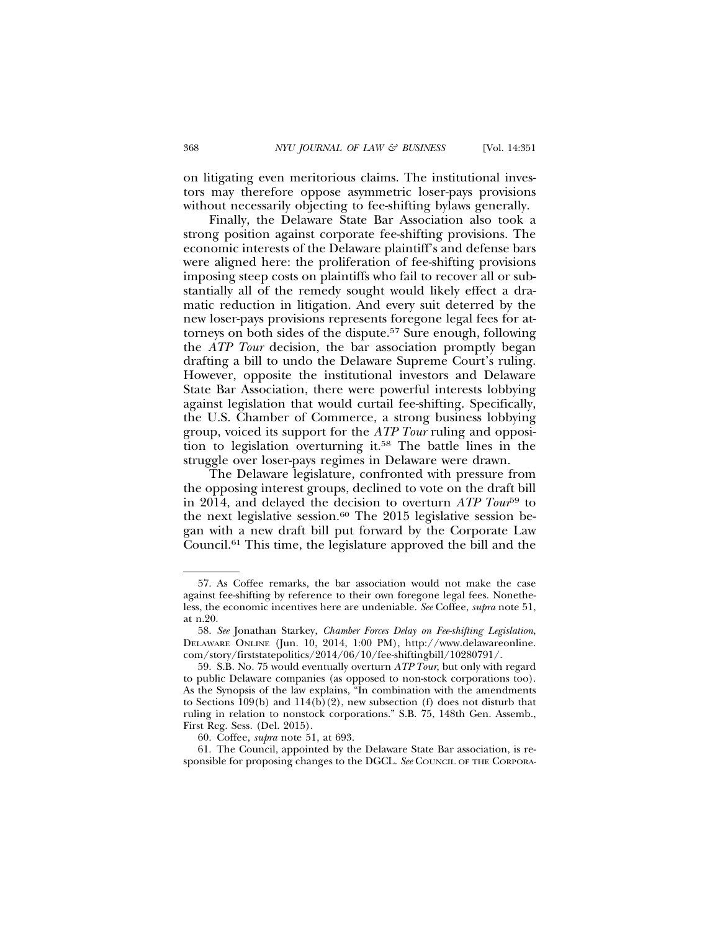on litigating even meritorious claims. The institutional investors may therefore oppose asymmetric loser-pays provisions without necessarily objecting to fee-shifting bylaws generally.

Finally, the Delaware State Bar Association also took a strong position against corporate fee-shifting provisions. The economic interests of the Delaware plaintiff's and defense bars were aligned here: the proliferation of fee-shifting provisions imposing steep costs on plaintiffs who fail to recover all or substantially all of the remedy sought would likely effect a dramatic reduction in litigation. And every suit deterred by the new loser-pays provisions represents foregone legal fees for attorneys on both sides of the dispute.57 Sure enough, following the *ATP Tour* decision, the bar association promptly began drafting a bill to undo the Delaware Supreme Court's ruling. However, opposite the institutional investors and Delaware State Bar Association, there were powerful interests lobbying against legislation that would curtail fee-shifting. Specifically, the U.S. Chamber of Commerce, a strong business lobbying group, voiced its support for the *ATP Tour* ruling and opposition to legislation overturning it.58 The battle lines in the struggle over loser-pays regimes in Delaware were drawn.

The Delaware legislature, confronted with pressure from the opposing interest groups, declined to vote on the draft bill in 2014, and delayed the decision to overturn *ATP Tour*59 to the next legislative session.<sup>60</sup> The 2015 legislative session began with a new draft bill put forward by the Corporate Law Council.61 This time, the legislature approved the bill and the

<sup>57.</sup> As Coffee remarks, the bar association would not make the case against fee-shifting by reference to their own foregone legal fees. Nonetheless, the economic incentives here are undeniable. *See* Coffee, *supra* note 51, at n.20.

<sup>58.</sup> *See* Jonathan Starkey, *Chamber Forces Delay on Fee-shifting Legislation*, DELAWARE ONLINE (Jun. 10, 2014, 1:00 PM), http://www.delawareonline. com/story/firststatepolitics/2014/06/10/fee-shiftingbill/10280791/.

<sup>59.</sup> S.B. No. 75 would eventually overturn *ATP Tour*, but only with regard to public Delaware companies (as opposed to non-stock corporations too). As the Synopsis of the law explains, "In combination with the amendments to Sections  $109(b)$  and  $114(b)(2)$ , new subsection (f) does not disturb that ruling in relation to nonstock corporations." S.B. 75, 148th Gen. Assemb., First Reg. Sess. (Del. 2015).

<sup>60.</sup> Coffee, *supra* note 51, at 693.

<sup>61.</sup> The Council, appointed by the Delaware State Bar association, is responsible for proposing changes to the DGCL. *See* COUNCIL OF THE CORPORA-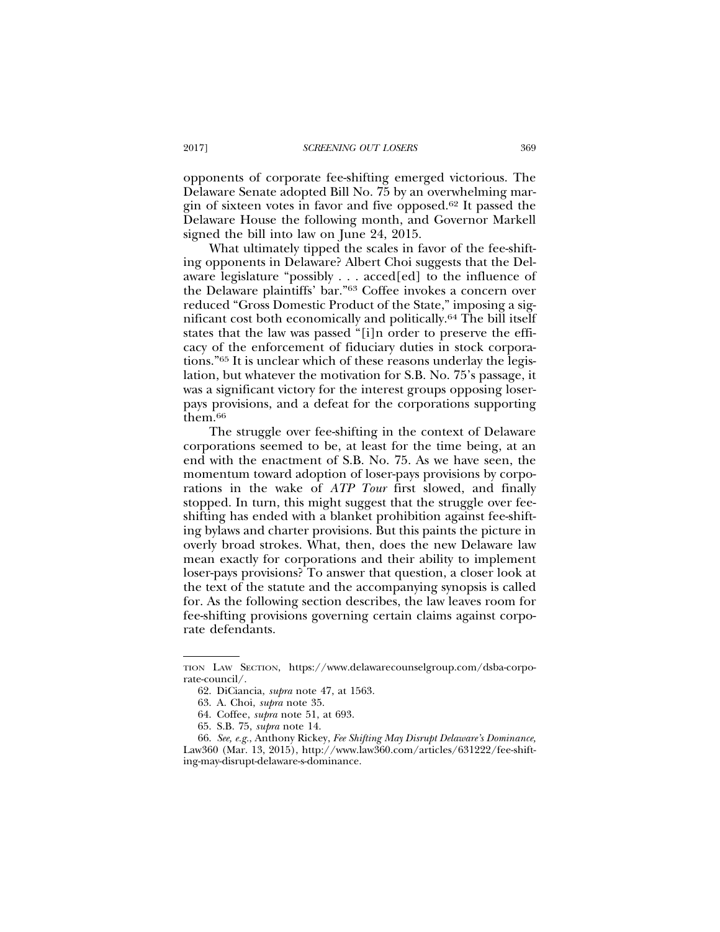opponents of corporate fee-shifting emerged victorious. The Delaware Senate adopted Bill No. 75 by an overwhelming margin of sixteen votes in favor and five opposed.62 It passed the Delaware House the following month, and Governor Markell signed the bill into law on June 24, 2015.

What ultimately tipped the scales in favor of the fee-shifting opponents in Delaware? Albert Choi suggests that the Delaware legislature "possibly . . . acced[ed] to the influence of the Delaware plaintiffs' bar."63 Coffee invokes a concern over reduced "Gross Domestic Product of the State," imposing a significant cost both economically and politically.64 The bill itself states that the law was passed "[i]n order to preserve the efficacy of the enforcement of fiduciary duties in stock corporations."65 It is unclear which of these reasons underlay the legislation, but whatever the motivation for S.B. No. 75's passage, it was a significant victory for the interest groups opposing loserpays provisions, and a defeat for the corporations supporting them.66

The struggle over fee-shifting in the context of Delaware corporations seemed to be, at least for the time being, at an end with the enactment of S.B. No. 75. As we have seen, the momentum toward adoption of loser-pays provisions by corporations in the wake of *ATP Tour* first slowed, and finally stopped. In turn, this might suggest that the struggle over feeshifting has ended with a blanket prohibition against fee-shifting bylaws and charter provisions. But this paints the picture in overly broad strokes. What, then, does the new Delaware law mean exactly for corporations and their ability to implement loser-pays provisions? To answer that question, a closer look at the text of the statute and the accompanying synopsis is called for. As the following section describes, the law leaves room for fee-shifting provisions governing certain claims against corporate defendants.

TION LAW SECTION, https://www.delawarecounselgroup.com/dsba-corporate-council/.

<sup>62.</sup> DiCiancia, *supra* note 47, at 1563.

<sup>63.</sup> A. Choi, *supra* note 35.

<sup>64.</sup> Coffee, *supra* note 51, at 693.

<sup>65.</sup> S.B. 75, *supra* note 14.

<sup>66.</sup> *See, e.g.*, Anthony Rickey, *Fee Shifting May Disrupt Delaware's Dominance,* Law360 (Mar. 13, 2015), http://www.law360.com/articles/631222/fee-shifting-may-disrupt-delaware-s-dominance.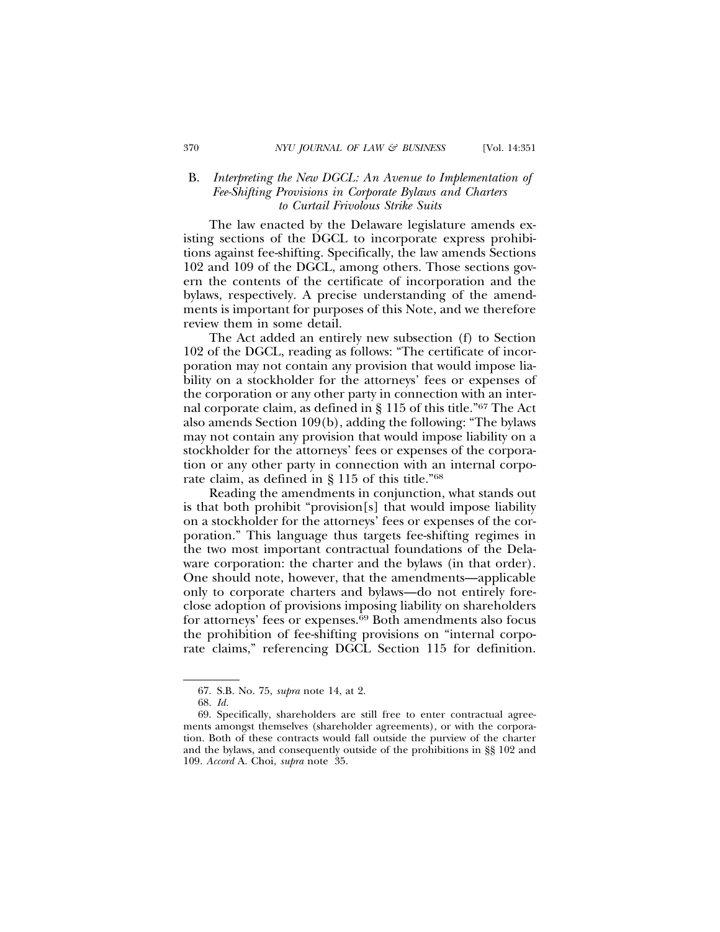## B. *Interpreting the New DGCL: An Avenue to Implementation of Fee-Shifting Provisions in Corporate Bylaws and Charters to Curtail Frivolous Strike Suits*

The law enacted by the Delaware legislature amends existing sections of the DGCL to incorporate express prohibitions against fee-shifting. Specifically, the law amends Sections 102 and 109 of the DGCL, among others. Those sections govern the contents of the certificate of incorporation and the bylaws, respectively. A precise understanding of the amendments is important for purposes of this Note, and we therefore review them in some detail.

The Act added an entirely new subsection (f) to Section 102 of the DGCL, reading as follows: "The certificate of incorporation may not contain any provision that would impose liability on a stockholder for the attorneys' fees or expenses of the corporation or any other party in connection with an internal corporate claim, as defined in § 115 of this title."67 The Act also amends Section 109(b), adding the following: "The bylaws may not contain any provision that would impose liability on a stockholder for the attorneys' fees or expenses of the corporation or any other party in connection with an internal corporate claim, as defined in § 115 of this title."68

Reading the amendments in conjunction, what stands out is that both prohibit "provision[s] that would impose liability on a stockholder for the attorneys' fees or expenses of the corporation." This language thus targets fee-shifting regimes in the two most important contractual foundations of the Delaware corporation: the charter and the bylaws (in that order). One should note, however, that the amendments—applicable only to corporate charters and bylaws—do not entirely foreclose adoption of provisions imposing liability on shareholders for attorneys' fees or expenses.<sup>69</sup> Both amendments also focus the prohibition of fee-shifting provisions on "internal corporate claims," referencing DGCL Section 115 for definition.

<sup>67.</sup> S.B. No. 75, *supra* note 14, at 2.

<sup>68.</sup> *Id.*

<sup>69.</sup> Specifically, shareholders are still free to enter contractual agreements amongst themselves (shareholder agreements), or with the corporation. Both of these contracts would fall outside the purview of the charter and the bylaws, and consequently outside of the prohibitions in §§ 102 and 109. *Accord* A. Choi, *supra* note 35.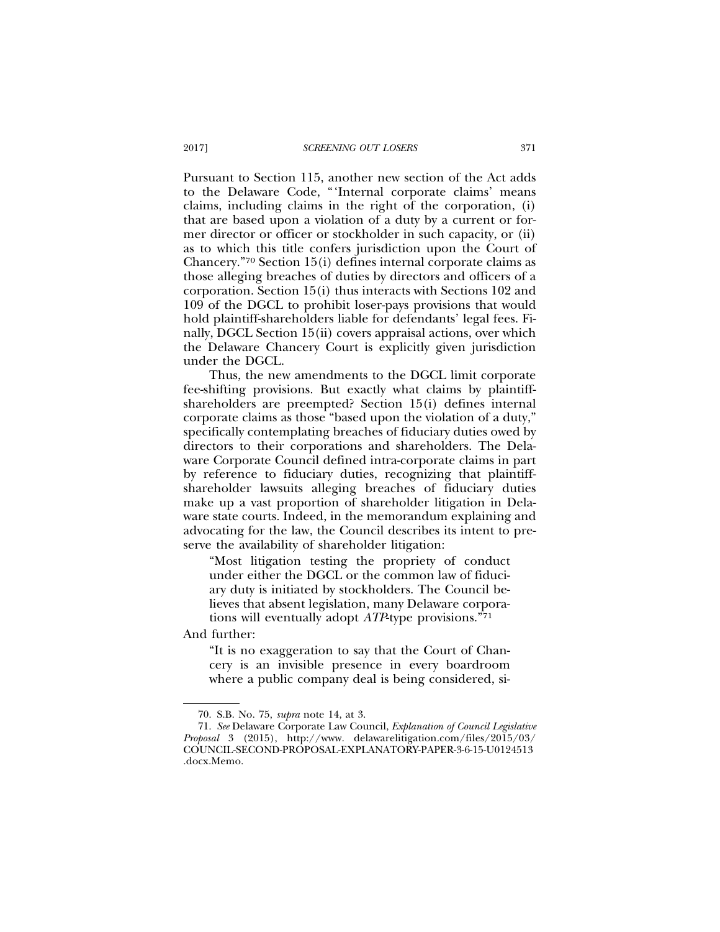Pursuant to Section 115, another new section of the Act adds to the Delaware Code, "'Internal corporate claims' means claims, including claims in the right of the corporation, (i) that are based upon a violation of a duty by a current or former director or officer or stockholder in such capacity, or (ii) as to which this title confers jurisdiction upon the Court of Chancery."70 Section 15(i) defines internal corporate claims as those alleging breaches of duties by directors and officers of a corporation. Section 15(i) thus interacts with Sections 102 and 109 of the DGCL to prohibit loser-pays provisions that would hold plaintiff-shareholders liable for defendants' legal fees. Finally, DGCL Section 15(ii) covers appraisal actions, over which the Delaware Chancery Court is explicitly given jurisdiction under the DGCL.

Thus, the new amendments to the DGCL limit corporate fee-shifting provisions. But exactly what claims by plaintiffshareholders are preempted? Section 15(i) defines internal corporate claims as those "based upon the violation of a duty," specifically contemplating breaches of fiduciary duties owed by directors to their corporations and shareholders. The Delaware Corporate Council defined intra-corporate claims in part by reference to fiduciary duties, recognizing that plaintiffshareholder lawsuits alleging breaches of fiduciary duties make up a vast proportion of shareholder litigation in Delaware state courts. Indeed, in the memorandum explaining and advocating for the law, the Council describes its intent to preserve the availability of shareholder litigation:

"Most litigation testing the propriety of conduct under either the DGCL or the common law of fiduciary duty is initiated by stockholders. The Council believes that absent legislation, many Delaware corporations will eventually adopt *ATP*-type provisions."71

And further:

"It is no exaggeration to say that the Court of Chancery is an invisible presence in every boardroom where a public company deal is being considered, si-

<sup>70.</sup> S.B. No. 75, *supra* note 14, at 3.

<sup>71.</sup> *See* Delaware Corporate Law Council, *Explanation of Council Legislative Proposal* 3 (2015), http://www. delawarelitigation.com/files/2015/03/ COUNCIL-SECOND-PROPOSAL-EXPLANATORY-PAPER-3-6-15-U0124513 .docx.Memo.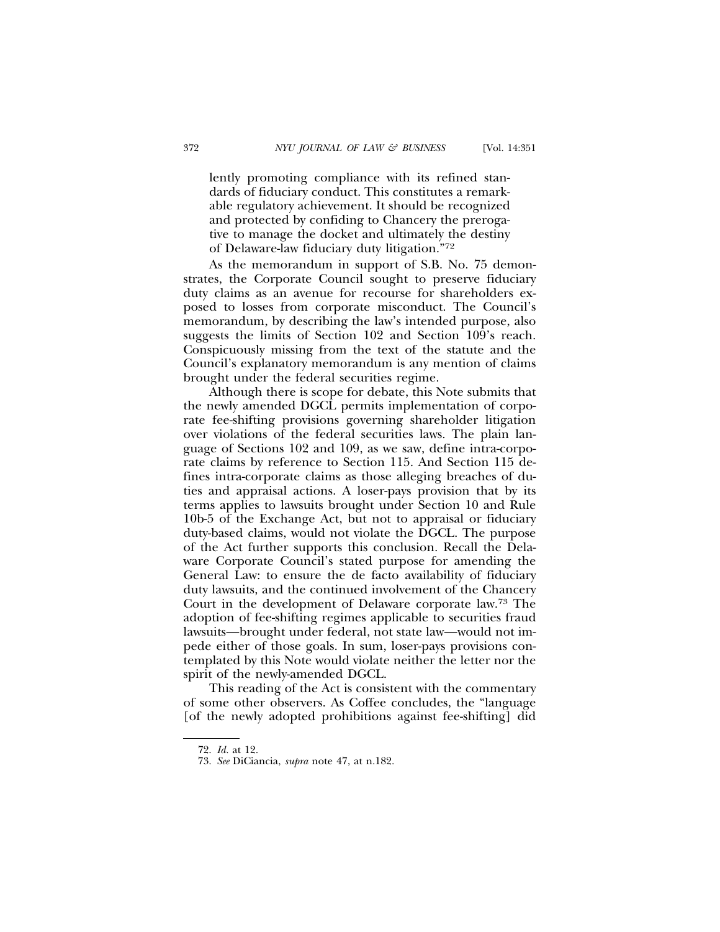lently promoting compliance with its refined standards of fiduciary conduct. This constitutes a remarkable regulatory achievement. It should be recognized and protected by confiding to Chancery the prerogative to manage the docket and ultimately the destiny of Delaware-law fiduciary duty litigation."72

As the memorandum in support of S.B. No. 75 demonstrates, the Corporate Council sought to preserve fiduciary duty claims as an avenue for recourse for shareholders exposed to losses from corporate misconduct. The Council's memorandum, by describing the law's intended purpose, also suggests the limits of Section 102 and Section 109's reach. Conspicuously missing from the text of the statute and the Council's explanatory memorandum is any mention of claims brought under the federal securities regime.

Although there is scope for debate, this Note submits that the newly amended DGCL permits implementation of corporate fee-shifting provisions governing shareholder litigation over violations of the federal securities laws. The plain language of Sections 102 and 109, as we saw, define intra-corporate claims by reference to Section 115. And Section 115 defines intra-corporate claims as those alleging breaches of duties and appraisal actions. A loser-pays provision that by its terms applies to lawsuits brought under Section 10 and Rule 10b-5 of the Exchange Act, but not to appraisal or fiduciary duty-based claims, would not violate the DGCL. The purpose of the Act further supports this conclusion. Recall the Delaware Corporate Council's stated purpose for amending the General Law: to ensure the de facto availability of fiduciary duty lawsuits, and the continued involvement of the Chancery Court in the development of Delaware corporate law.73 The adoption of fee-shifting regimes applicable to securities fraud lawsuits—brought under federal, not state law—would not impede either of those goals. In sum, loser-pays provisions contemplated by this Note would violate neither the letter nor the spirit of the newly-amended DGCL.

This reading of the Act is consistent with the commentary of some other observers. As Coffee concludes, the "language [of the newly adopted prohibitions against fee-shifting] did

<sup>72.</sup> *Id.* at 12.

<sup>73.</sup> *See* DiCiancia, *supra* note 47, at n.182.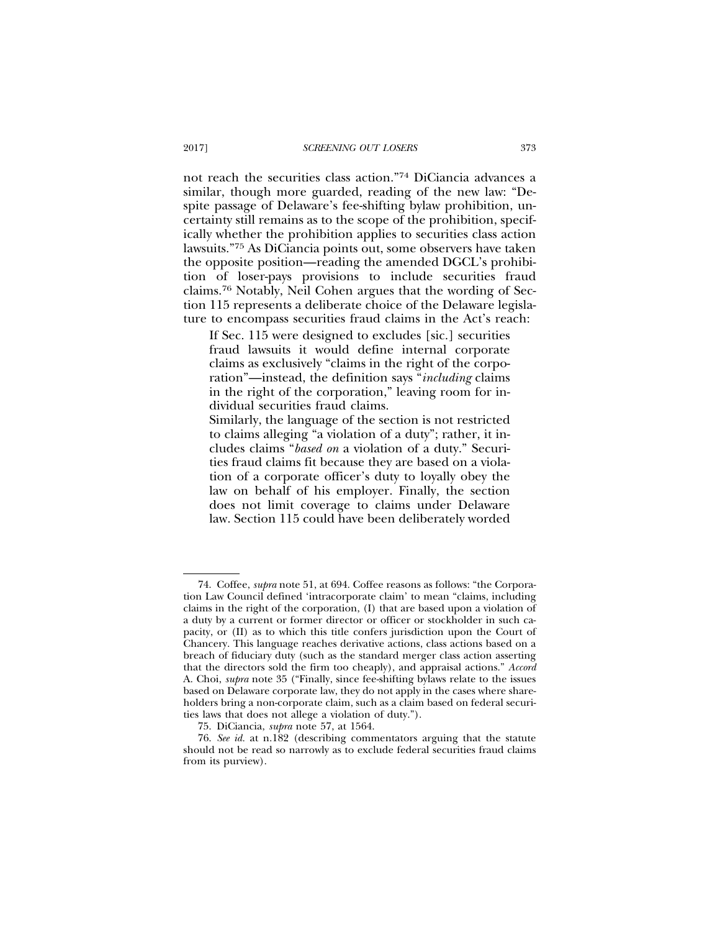not reach the securities class action."74 DiCiancia advances a similar, though more guarded, reading of the new law: "Despite passage of Delaware's fee-shifting bylaw prohibition, uncertainty still remains as to the scope of the prohibition, specifically whether the prohibition applies to securities class action lawsuits."75 As DiCiancia points out, some observers have taken the opposite position—reading the amended DGCL's prohibition of loser-pays provisions to include securities fraud claims.76 Notably, Neil Cohen argues that the wording of Section 115 represents a deliberate choice of the Delaware legislature to encompass securities fraud claims in the Act's reach:

If Sec. 115 were designed to excludes [sic.] securities fraud lawsuits it would define internal corporate claims as exclusively "claims in the right of the corporation"—instead, the definition says "*including* claims in the right of the corporation," leaving room for individual securities fraud claims.

Similarly, the language of the section is not restricted to claims alleging "a violation of a duty"; rather, it includes claims "*based on* a violation of a duty." Securities fraud claims fit because they are based on a violation of a corporate officer's duty to loyally obey the law on behalf of his employer. Finally, the section does not limit coverage to claims under Delaware law. Section 115 could have been deliberately worded

<sup>74.</sup> Coffee, *supra* note 51, at 694. Coffee reasons as follows: "the Corporation Law Council defined 'intracorporate claim' to mean "claims, including claims in the right of the corporation, (I) that are based upon a violation of a duty by a current or former director or officer or stockholder in such capacity, or (II) as to which this title confers jurisdiction upon the Court of Chancery. This language reaches derivative actions, class actions based on a breach of fiduciary duty (such as the standard merger class action asserting that the directors sold the firm too cheaply), and appraisal actions." *Accord* A. Choi, *supra* note 35 ("Finally, since fee-shifting bylaws relate to the issues based on Delaware corporate law, they do not apply in the cases where shareholders bring a non-corporate claim, such as a claim based on federal securities laws that does not allege a violation of duty.").

<sup>75.</sup> DiCiancia, *supra* note 57, at 1564.

<sup>76.</sup> *See id.* at n.182 (describing commentators arguing that the statute should not be read so narrowly as to exclude federal securities fraud claims from its purview).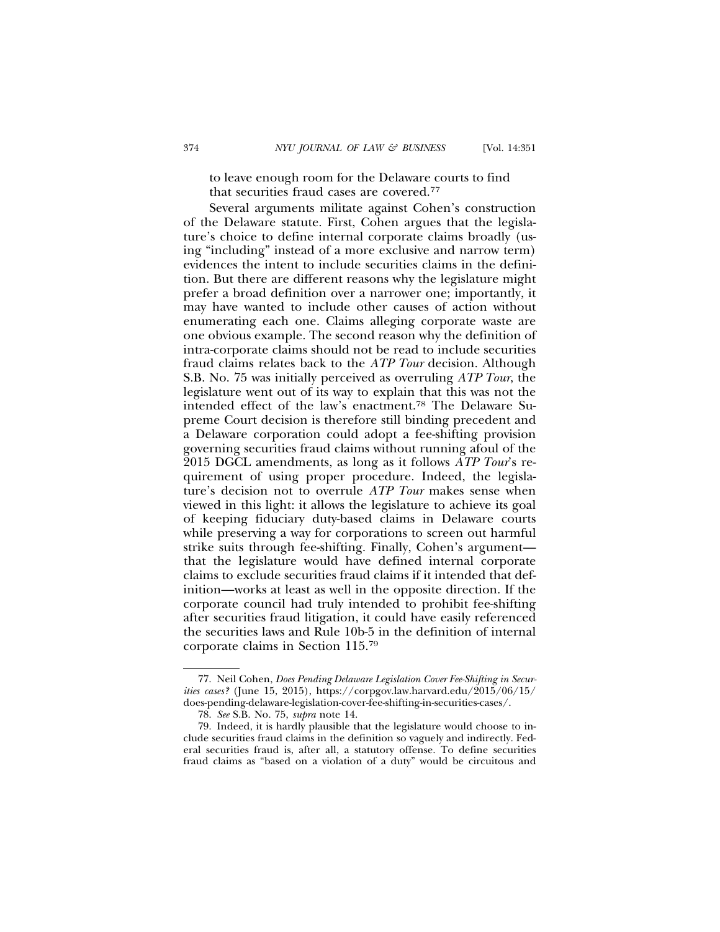to leave enough room for the Delaware courts to find that securities fraud cases are covered.77

Several arguments militate against Cohen's construction of the Delaware statute. First, Cohen argues that the legislature's choice to define internal corporate claims broadly (using "including" instead of a more exclusive and narrow term) evidences the intent to include securities claims in the definition. But there are different reasons why the legislature might prefer a broad definition over a narrower one; importantly, it may have wanted to include other causes of action without enumerating each one. Claims alleging corporate waste are one obvious example. The second reason why the definition of intra-corporate claims should not be read to include securities fraud claims relates back to the *ATP Tour* decision. Although S.B. No. 75 was initially perceived as overruling *ATP Tour*, the legislature went out of its way to explain that this was not the intended effect of the law's enactment.78 The Delaware Supreme Court decision is therefore still binding precedent and a Delaware corporation could adopt a fee-shifting provision governing securities fraud claims without running afoul of the 2015 DGCL amendments, as long as it follows *ATP Tour*'s requirement of using proper procedure. Indeed, the legislature's decision not to overrule *ATP Tour* makes sense when viewed in this light: it allows the legislature to achieve its goal of keeping fiduciary duty-based claims in Delaware courts while preserving a way for corporations to screen out harmful strike suits through fee-shifting. Finally, Cohen's argument that the legislature would have defined internal corporate claims to exclude securities fraud claims if it intended that definition—works at least as well in the opposite direction. If the corporate council had truly intended to prohibit fee-shifting after securities fraud litigation, it could have easily referenced the securities laws and Rule 10b-5 in the definition of internal corporate claims in Section 115.79

<sup>77.</sup> Neil Cohen, *Does Pending Delaware Legislation Cover Fee-Shifting in Securities cases?* (June 15, 2015), https://corpgov.law.harvard.edu/2015/06/15/ does-pending-delaware-legislation-cover-fee-shifting-in-securities-cases/.

<sup>78.</sup> *See* S.B. No. 75, *supra* note 14.

<sup>79.</sup> Indeed, it is hardly plausible that the legislature would choose to include securities fraud claims in the definition so vaguely and indirectly. Federal securities fraud is, after all, a statutory offense. To define securities fraud claims as "based on a violation of a duty" would be circuitous and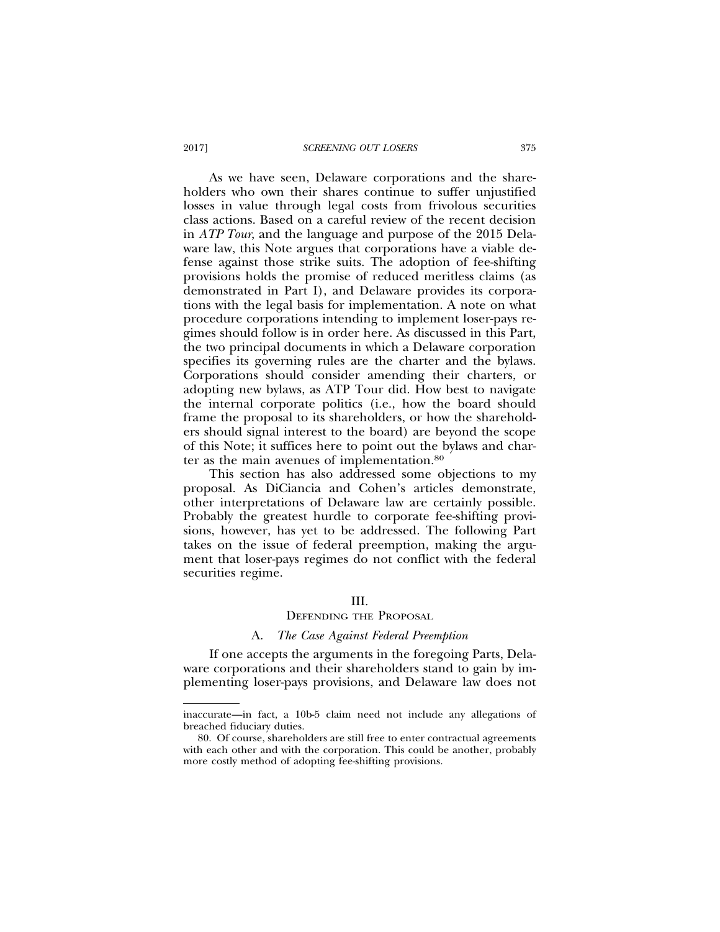As we have seen, Delaware corporations and the shareholders who own their shares continue to suffer unjustified losses in value through legal costs from frivolous securities class actions. Based on a careful review of the recent decision in *ATP Tour*, and the language and purpose of the 2015 Delaware law, this Note argues that corporations have a viable defense against those strike suits. The adoption of fee-shifting provisions holds the promise of reduced meritless claims (as demonstrated in Part I), and Delaware provides its corporations with the legal basis for implementation. A note on what procedure corporations intending to implement loser-pays regimes should follow is in order here. As discussed in this Part, the two principal documents in which a Delaware corporation specifies its governing rules are the charter and the bylaws. Corporations should consider amending their charters, or adopting new bylaws, as ATP Tour did. How best to navigate the internal corporate politics (i.e., how the board should frame the proposal to its shareholders, or how the shareholders should signal interest to the board) are beyond the scope of this Note; it suffices here to point out the bylaws and charter as the main avenues of implementation.80

This section has also addressed some objections to my proposal. As DiCiancia and Cohen's articles demonstrate, other interpretations of Delaware law are certainly possible. Probably the greatest hurdle to corporate fee-shifting provisions, however, has yet to be addressed. The following Part takes on the issue of federal preemption, making the argument that loser-pays regimes do not conflict with the federal securities regime.

## III.

#### DEFENDING THE PROPOSAL

#### A. *The Case Against Federal Preemption*

If one accepts the arguments in the foregoing Parts, Delaware corporations and their shareholders stand to gain by implementing loser-pays provisions, and Delaware law does not

inaccurate—in fact, a 10b-5 claim need not include any allegations of breached fiduciary duties.

<sup>80.</sup> Of course, shareholders are still free to enter contractual agreements with each other and with the corporation. This could be another, probably more costly method of adopting fee-shifting provisions.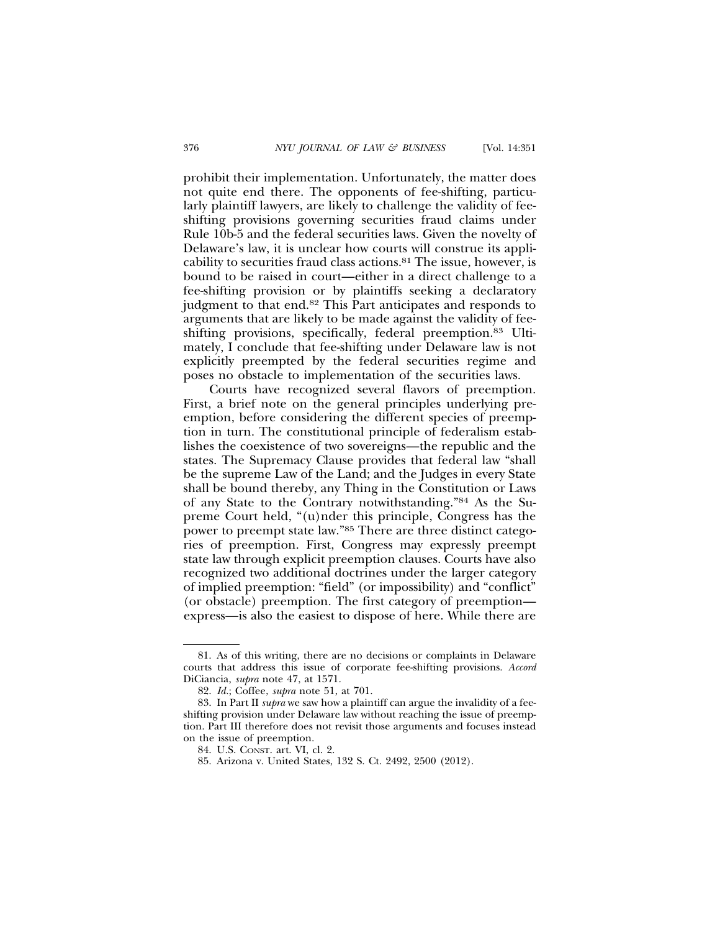prohibit their implementation. Unfortunately, the matter does not quite end there. The opponents of fee-shifting, particularly plaintiff lawyers, are likely to challenge the validity of feeshifting provisions governing securities fraud claims under Rule 10b-5 and the federal securities laws. Given the novelty of Delaware's law, it is unclear how courts will construe its applicability to securities fraud class actions.81 The issue, however, is bound to be raised in court—either in a direct challenge to a fee-shifting provision or by plaintiffs seeking a declaratory judgment to that end.82 This Part anticipates and responds to arguments that are likely to be made against the validity of feeshifting provisions, specifically, federal preemption.83 Ultimately, I conclude that fee-shifting under Delaware law is not explicitly preempted by the federal securities regime and poses no obstacle to implementation of the securities laws.

Courts have recognized several flavors of preemption. First, a brief note on the general principles underlying preemption, before considering the different species of preemption in turn. The constitutional principle of federalism establishes the coexistence of two sovereigns—the republic and the states. The Supremacy Clause provides that federal law "shall be the supreme Law of the Land; and the Judges in every State shall be bound thereby, any Thing in the Constitution or Laws of any State to the Contrary notwithstanding."84 As the Supreme Court held, "(u)nder this principle, Congress has the power to preempt state law."85 There are three distinct categories of preemption. First, Congress may expressly preempt state law through explicit preemption clauses. Courts have also recognized two additional doctrines under the larger category of implied preemption: "field" (or impossibility) and "conflict" (or obstacle) preemption. The first category of preemption express—is also the easiest to dispose of here. While there are

<sup>81.</sup> As of this writing, there are no decisions or complaints in Delaware courts that address this issue of corporate fee-shifting provisions. *Accord* DiCiancia, *supra* note 47, at 1571.

<sup>82.</sup> *Id.*; Coffee, *supra* note 51, at 701.

<sup>83.</sup> In Part II *supra* we saw how a plaintiff can argue the invalidity of a feeshifting provision under Delaware law without reaching the issue of preemption. Part III therefore does not revisit those arguments and focuses instead on the issue of preemption.

<sup>84.</sup> U.S. CONST. art. VI, cl. 2.

<sup>85.</sup> Arizona v. United States, 132 S. Ct. 2492, 2500 (2012).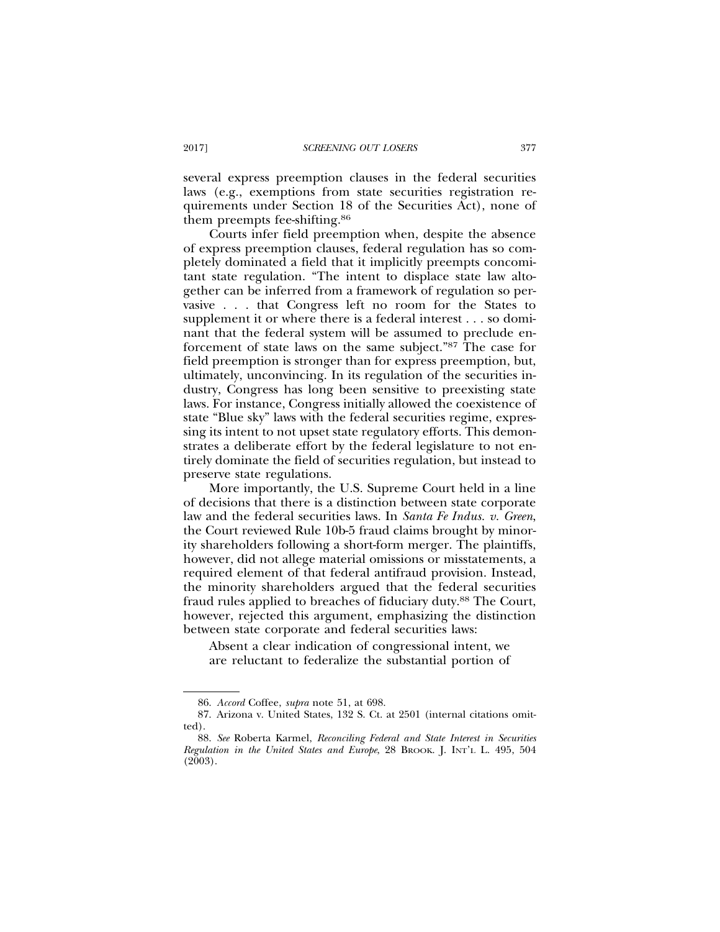several express preemption clauses in the federal securities laws (e.g., exemptions from state securities registration requirements under Section 18 of the Securities Act), none of them preempts fee-shifting.86

Courts infer field preemption when, despite the absence of express preemption clauses, federal regulation has so completely dominated a field that it implicitly preempts concomitant state regulation. "The intent to displace state law altogether can be inferred from a framework of regulation so pervasive . . . that Congress left no room for the States to supplement it or where there is a federal interest . . . so dominant that the federal system will be assumed to preclude enforcement of state laws on the same subject."87 The case for field preemption is stronger than for express preemption, but, ultimately, unconvincing. In its regulation of the securities industry, Congress has long been sensitive to preexisting state laws. For instance, Congress initially allowed the coexistence of state "Blue sky" laws with the federal securities regime, expressing its intent to not upset state regulatory efforts. This demonstrates a deliberate effort by the federal legislature to not entirely dominate the field of securities regulation, but instead to preserve state regulations.

More importantly, the U.S. Supreme Court held in a line of decisions that there is a distinction between state corporate law and the federal securities laws. In *Santa Fe Indus. v. Green*, the Court reviewed Rule 10b-5 fraud claims brought by minority shareholders following a short-form merger. The plaintiffs, however, did not allege material omissions or misstatements, a required element of that federal antifraud provision. Instead, the minority shareholders argued that the federal securities fraud rules applied to breaches of fiduciary duty.88 The Court, however, rejected this argument, emphasizing the distinction between state corporate and federal securities laws:

Absent a clear indication of congressional intent, we are reluctant to federalize the substantial portion of

<sup>86.</sup> *Accord* Coffee, *supra* note 51, at 698.

<sup>87.</sup> Arizona v. United States, 132 S. Ct. at 2501 (internal citations omitted).

<sup>88.</sup> *See* Roberta Karmel, *Reconciling Federal and State Interest in Securities Regulation in the United States and Europe*, 28 BROOK. J. INT'L L. 495, 504 (2003).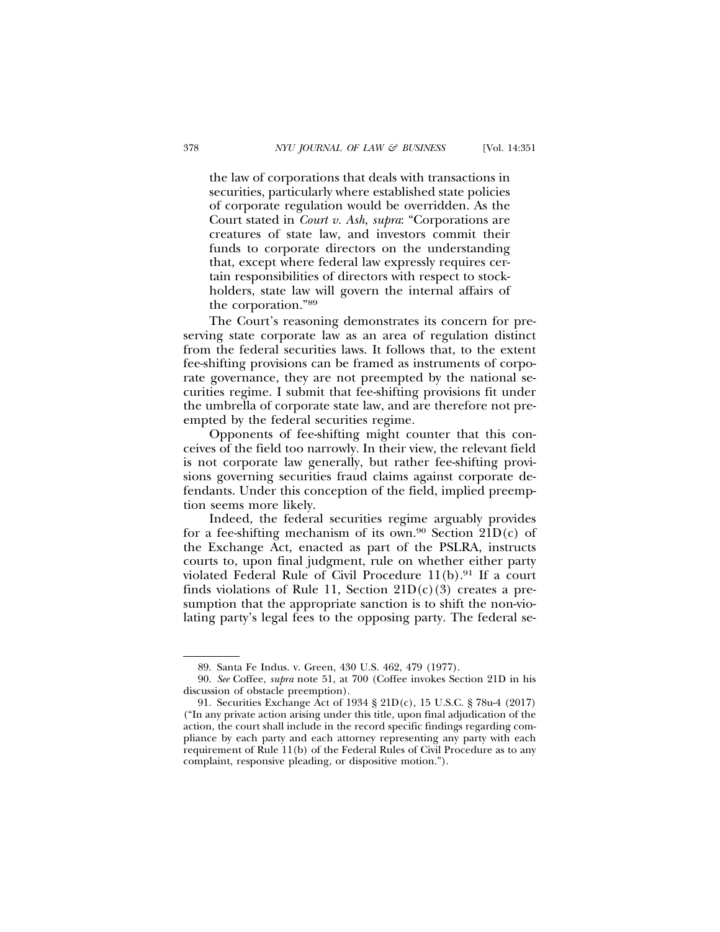the law of corporations that deals with transactions in securities, particularly where established state policies of corporate regulation would be overridden. As the Court stated in *Court v. Ash*, *supra*: "Corporations are creatures of state law, and investors commit their funds to corporate directors on the understanding that, except where federal law expressly requires certain responsibilities of directors with respect to stockholders, state law will govern the internal affairs of the corporation."89

The Court's reasoning demonstrates its concern for preserving state corporate law as an area of regulation distinct from the federal securities laws. It follows that, to the extent fee-shifting provisions can be framed as instruments of corporate governance, they are not preempted by the national securities regime. I submit that fee-shifting provisions fit under the umbrella of corporate state law, and are therefore not preempted by the federal securities regime.

Opponents of fee-shifting might counter that this conceives of the field too narrowly. In their view, the relevant field is not corporate law generally, but rather fee-shifting provisions governing securities fraud claims against corporate defendants. Under this conception of the field, implied preemption seems more likely.

Indeed, the federal securities regime arguably provides for a fee-shifting mechanism of its own.<sup>90</sup> Section  $21D(c)$  of the Exchange Act, enacted as part of the PSLRA, instructs courts to, upon final judgment, rule on whether either party violated Federal Rule of Civil Procedure  $11(b)$ .<sup>91</sup> If a court finds violations of Rule 11, Section  $21D(c)(3)$  creates a presumption that the appropriate sanction is to shift the non-violating party's legal fees to the opposing party. The federal se-

<sup>89.</sup> Santa Fe Indus. v. Green, 430 U.S. 462, 479 (1977).

<sup>90.</sup> *See* Coffee, *supra* note 51, at 700 (Coffee invokes Section 21D in his discussion of obstacle preemption).

<sup>91.</sup> Securities Exchange Act of 1934 § 21D(c), 15 U.S.C. § 78u-4 (2017) ("In any private action arising under this title, upon final adjudication of the action, the court shall include in the record specific findings regarding compliance by each party and each attorney representing any party with each requirement of Rule 11(b) of the Federal Rules of Civil Procedure as to any complaint, responsive pleading, or dispositive motion.").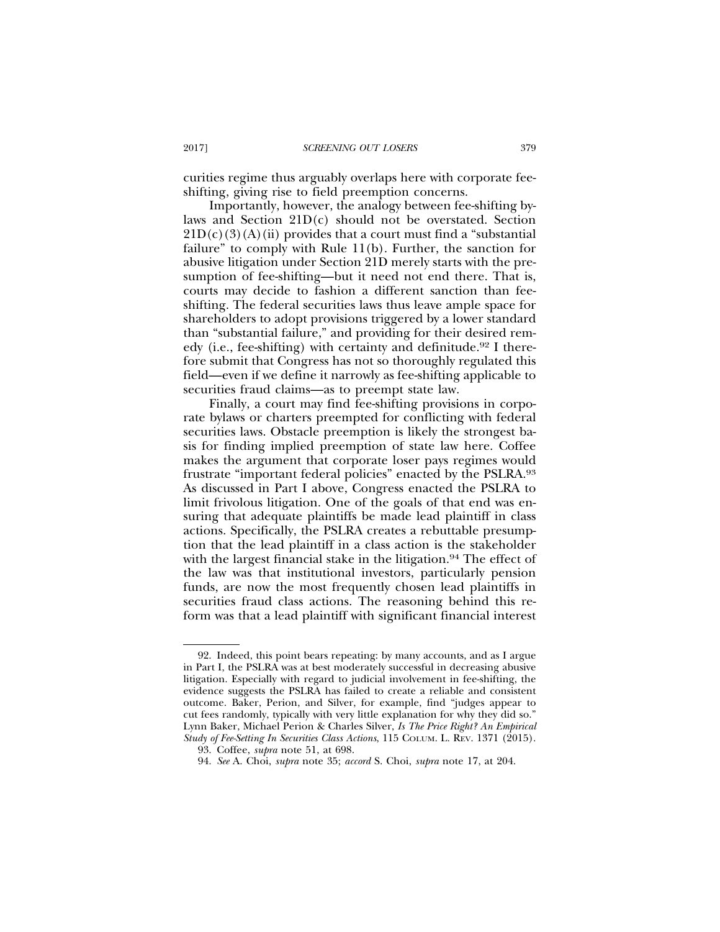curities regime thus arguably overlaps here with corporate feeshifting, giving rise to field preemption concerns.

Importantly, however, the analogy between fee-shifting bylaws and Section 21D(c) should not be overstated. Section  $21D(c)(3)(A)(ii)$  provides that a court must find a "substantial" failure" to comply with Rule 11(b). Further, the sanction for abusive litigation under Section 21D merely starts with the presumption of fee-shifting—but it need not end there. That is, courts may decide to fashion a different sanction than feeshifting. The federal securities laws thus leave ample space for shareholders to adopt provisions triggered by a lower standard than "substantial failure," and providing for their desired remedy (i.e., fee-shifting) with certainty and definitude.<sup>92</sup> I therefore submit that Congress has not so thoroughly regulated this field—even if we define it narrowly as fee-shifting applicable to securities fraud claims—as to preempt state law.

Finally, a court may find fee-shifting provisions in corporate bylaws or charters preempted for conflicting with federal securities laws. Obstacle preemption is likely the strongest basis for finding implied preemption of state law here. Coffee makes the argument that corporate loser pays regimes would frustrate "important federal policies" enacted by the PSLRA.93 As discussed in Part I above, Congress enacted the PSLRA to limit frivolous litigation. One of the goals of that end was ensuring that adequate plaintiffs be made lead plaintiff in class actions. Specifically, the PSLRA creates a rebuttable presumption that the lead plaintiff in a class action is the stakeholder with the largest financial stake in the litigation.<sup>94</sup> The effect of the law was that institutional investors, particularly pension funds, are now the most frequently chosen lead plaintiffs in securities fraud class actions. The reasoning behind this reform was that a lead plaintiff with significant financial interest

<sup>92.</sup> Indeed, this point bears repeating: by many accounts, and as I argue in Part I, the PSLRA was at best moderately successful in decreasing abusive litigation. Especially with regard to judicial involvement in fee-shifting, the evidence suggests the PSLRA has failed to create a reliable and consistent outcome. Baker, Perion, and Silver, for example, find "judges appear to cut fees randomly, typically with very little explanation for why they did so." Lynn Baker, Michael Perion & Charles Silver, *Is The Price Right? An Empirical Study of Fee-Setting In Securities Class Actions*, 115 COLUM. L. REV. 1371 (2015).

<sup>93.</sup> Coffee, *supra* note 51, at 698.

<sup>94.</sup> *See* A. Choi, *supra* note 35; *accord* S. Choi, *supra* note 17, at 204.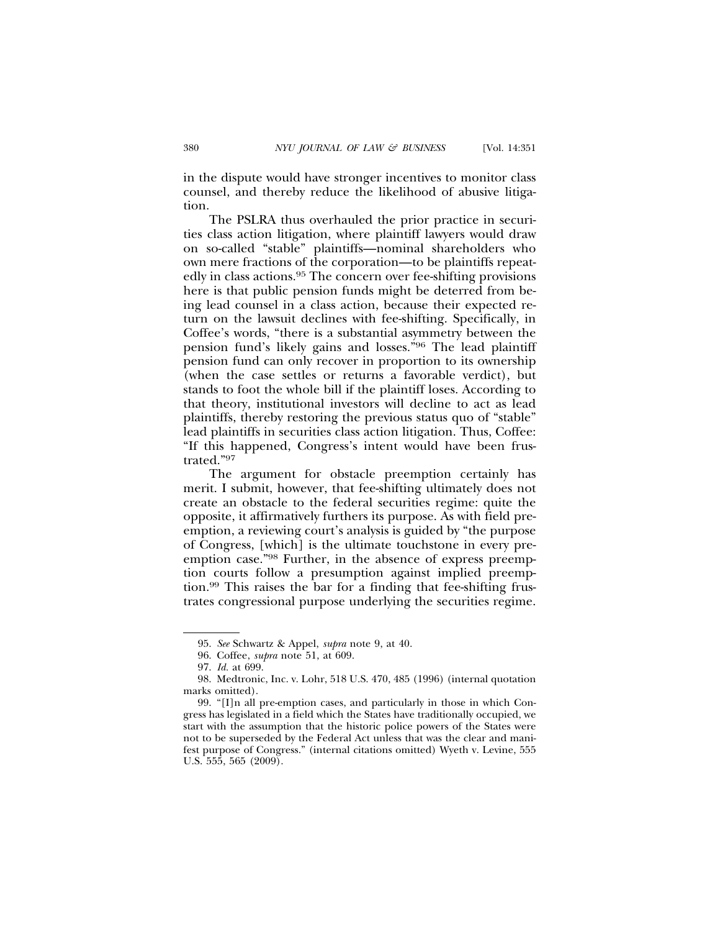in the dispute would have stronger incentives to monitor class counsel, and thereby reduce the likelihood of abusive litigation.

The PSLRA thus overhauled the prior practice in securities class action litigation, where plaintiff lawyers would draw on so-called "stable" plaintiffs—nominal shareholders who own mere fractions of the corporation—to be plaintiffs repeatedly in class actions.95 The concern over fee-shifting provisions here is that public pension funds might be deterred from being lead counsel in a class action, because their expected return on the lawsuit declines with fee-shifting. Specifically, in Coffee's words, "there is a substantial asymmetry between the pension fund's likely gains and losses."96 The lead plaintiff pension fund can only recover in proportion to its ownership (when the case settles or returns a favorable verdict), but stands to foot the whole bill if the plaintiff loses. According to that theory, institutional investors will decline to act as lead plaintiffs, thereby restoring the previous status quo of "stable" lead plaintiffs in securities class action litigation. Thus, Coffee: "If this happened, Congress's intent would have been frustrated."97

The argument for obstacle preemption certainly has merit. I submit, however, that fee-shifting ultimately does not create an obstacle to the federal securities regime: quite the opposite, it affirmatively furthers its purpose. As with field preemption, a reviewing court's analysis is guided by "the purpose of Congress, [which] is the ultimate touchstone in every preemption case."98 Further, in the absence of express preemption courts follow a presumption against implied preemption.99 This raises the bar for a finding that fee-shifting frustrates congressional purpose underlying the securities regime.

<sup>95.</sup> *See* Schwartz & Appel, *supra* note 9, at 40.

<sup>96.</sup> Coffee, *supra* note 51, at 609.

<sup>97.</sup> *Id.* at 699.

<sup>98.</sup> Medtronic, Inc. v. Lohr, 518 U.S. 470, 485 (1996) (internal quotation marks omitted).

<sup>99. &</sup>quot;[I]n all pre-emption cases, and particularly in those in which Congress has legislated in a field which the States have traditionally occupied, we start with the assumption that the historic police powers of the States were not to be superseded by the Federal Act unless that was the clear and manifest purpose of Congress." (internal citations omitted) Wyeth v. Levine, 555 U.S. 555, 565 (2009).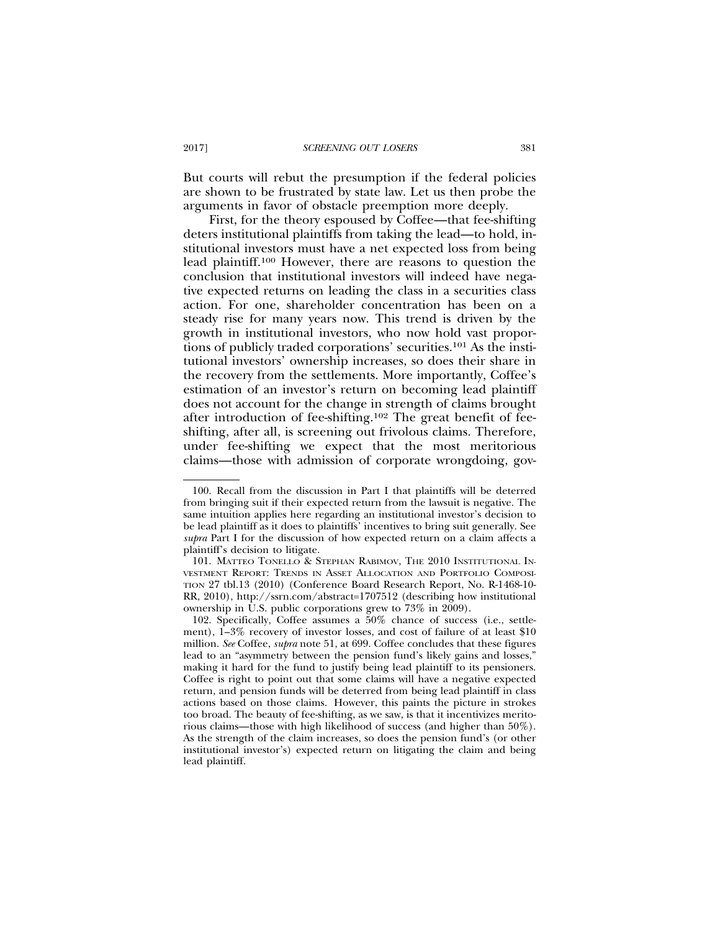But courts will rebut the presumption if the federal policies are shown to be frustrated by state law. Let us then probe the arguments in favor of obstacle preemption more deeply.

First, for the theory espoused by Coffee—that fee-shifting deters institutional plaintiffs from taking the lead—to hold, institutional investors must have a net expected loss from being lead plaintiff.100 However, there are reasons to question the conclusion that institutional investors will indeed have negative expected returns on leading the class in a securities class action. For one, shareholder concentration has been on a steady rise for many years now. This trend is driven by the growth in institutional investors, who now hold vast proportions of publicly traded corporations' securities.101 As the institutional investors' ownership increases, so does their share in the recovery from the settlements. More importantly, Coffee's estimation of an investor's return on becoming lead plaintiff does not account for the change in strength of claims brought after introduction of fee-shifting.102 The great benefit of feeshifting, after all, is screening out frivolous claims. Therefore, under fee-shifting we expect that the most meritorious claims—those with admission of corporate wrongdoing, gov-

<sup>100.</sup> Recall from the discussion in Part I that plaintiffs will be deterred from bringing suit if their expected return from the lawsuit is negative. The same intuition applies here regarding an institutional investor's decision to be lead plaintiff as it does to plaintiffs' incentives to bring suit generally. See *supra* Part I for the discussion of how expected return on a claim affects a plaintiff's decision to litigate.

<sup>101.</sup> MATTEO TONELLO & STEPHAN RABIMOV, THE 2010 INSTITUTIONAL IN-VESTMENT REPORT: TRENDS IN ASSET ALLOCATION AND PORTFOLIO COMPOSI-TION 27 tbl.13 (2010) (Conference Board Research Report, No. R-1468-10- RR, 2010), http://ssrn.com/abstract=1707512 (describing how institutional ownership in U.S. public corporations grew to 73% in 2009).

<sup>102.</sup> Specifically, Coffee assumes a 50% chance of success (i.e., settlement), 1–3% recovery of investor losses, and cost of failure of at least \$10 million. *See* Coffee, *supra* note 51, at 699. Coffee concludes that these figures lead to an "asymmetry between the pension fund's likely gains and losses," making it hard for the fund to justify being lead plaintiff to its pensioners. Coffee is right to point out that some claims will have a negative expected return, and pension funds will be deterred from being lead plaintiff in class actions based on those claims. However, this paints the picture in strokes too broad. The beauty of fee-shifting, as we saw, is that it incentivizes meritorious claims—those with high likelihood of success (and higher than 50%). As the strength of the claim increases, so does the pension fund's (or other institutional investor's) expected return on litigating the claim and being lead plaintiff.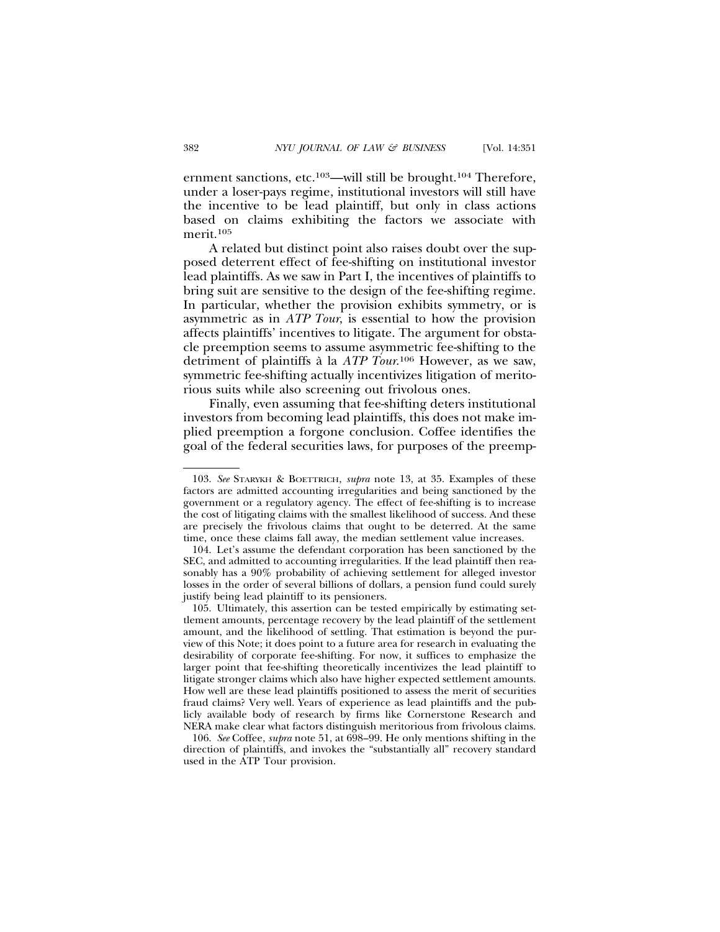ernment sanctions, etc.103—will still be brought.104 Therefore, under a loser-pays regime, institutional investors will still have the incentive to be lead plaintiff, but only in class actions based on claims exhibiting the factors we associate with merit.105

A related but distinct point also raises doubt over the supposed deterrent effect of fee-shifting on institutional investor lead plaintiffs. As we saw in Part I, the incentives of plaintiffs to bring suit are sensitive to the design of the fee-shifting regime. In particular, whether the provision exhibits symmetry, or is asymmetric as in *ATP Tour*, is essential to how the provision affects plaintiffs' incentives to litigate. The argument for obstacle preemption seems to assume asymmetric fee-shifting to the detriment of plaintiffs à la *ATP Tour*.<sup>106</sup> However, as we saw, symmetric fee-shifting actually incentivizes litigation of meritorious suits while also screening out frivolous ones.

Finally, even assuming that fee-shifting deters institutional investors from becoming lead plaintiffs, this does not make implied preemption a forgone conclusion. Coffee identifies the goal of the federal securities laws, for purposes of the preemp-

<sup>103.</sup> *See* STARYKH & BOETTRICH, *supra* note 13, at 35. Examples of these factors are admitted accounting irregularities and being sanctioned by the government or a regulatory agency. The effect of fee-shifting is to increase the cost of litigating claims with the smallest likelihood of success. And these are precisely the frivolous claims that ought to be deterred. At the same time, once these claims fall away, the median settlement value increases.

<sup>104.</sup> Let's assume the defendant corporation has been sanctioned by the SEC, and admitted to accounting irregularities. If the lead plaintiff then reasonably has a 90% probability of achieving settlement for alleged investor losses in the order of several billions of dollars, a pension fund could surely justify being lead plaintiff to its pensioners.

<sup>105.</sup> Ultimately, this assertion can be tested empirically by estimating settlement amounts, percentage recovery by the lead plaintiff of the settlement amount, and the likelihood of settling. That estimation is beyond the purview of this Note; it does point to a future area for research in evaluating the desirability of corporate fee-shifting. For now, it suffices to emphasize the larger point that fee-shifting theoretically incentivizes the lead plaintiff to litigate stronger claims which also have higher expected settlement amounts. How well are these lead plaintiffs positioned to assess the merit of securities fraud claims? Very well. Years of experience as lead plaintiffs and the publicly available body of research by firms like Cornerstone Research and NERA make clear what factors distinguish meritorious from frivolous claims.

<sup>106.</sup> *See* Coffee, *supra* note 51, at 698–99. He only mentions shifting in the direction of plaintiffs, and invokes the "substantially all" recovery standard used in the ATP Tour provision.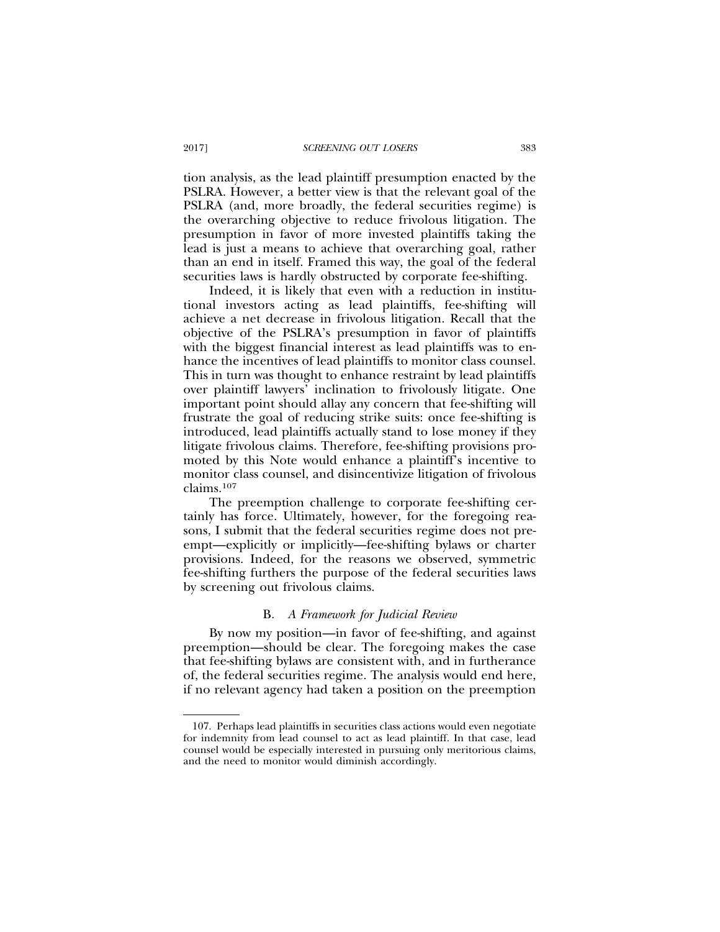tion analysis, as the lead plaintiff presumption enacted by the PSLRA. However, a better view is that the relevant goal of the PSLRA (and, more broadly, the federal securities regime) is the overarching objective to reduce frivolous litigation. The presumption in favor of more invested plaintiffs taking the lead is just a means to achieve that overarching goal, rather than an end in itself. Framed this way, the goal of the federal securities laws is hardly obstructed by corporate fee-shifting.

Indeed, it is likely that even with a reduction in institutional investors acting as lead plaintiffs, fee-shifting will achieve a net decrease in frivolous litigation. Recall that the objective of the PSLRA's presumption in favor of plaintiffs with the biggest financial interest as lead plaintiffs was to enhance the incentives of lead plaintiffs to monitor class counsel. This in turn was thought to enhance restraint by lead plaintiffs over plaintiff lawyers' inclination to frivolously litigate. One important point should allay any concern that fee-shifting will frustrate the goal of reducing strike suits: once fee-shifting is introduced, lead plaintiffs actually stand to lose money if they litigate frivolous claims. Therefore, fee-shifting provisions promoted by this Note would enhance a plaintiff's incentive to monitor class counsel, and disincentivize litigation of frivolous claims.107

The preemption challenge to corporate fee-shifting certainly has force. Ultimately, however, for the foregoing reasons, I submit that the federal securities regime does not preempt—explicitly or implicitly—fee-shifting bylaws or charter provisions. Indeed, for the reasons we observed, symmetric fee-shifting furthers the purpose of the federal securities laws by screening out frivolous claims.

#### B. *A Framework for Judicial Review*

By now my position—in favor of fee-shifting, and against preemption—should be clear. The foregoing makes the case that fee-shifting bylaws are consistent with, and in furtherance of, the federal securities regime. The analysis would end here, if no relevant agency had taken a position on the preemption

<sup>107.</sup> Perhaps lead plaintiffs in securities class actions would even negotiate for indemnity from lead counsel to act as lead plaintiff. In that case, lead counsel would be especially interested in pursuing only meritorious claims, and the need to monitor would diminish accordingly.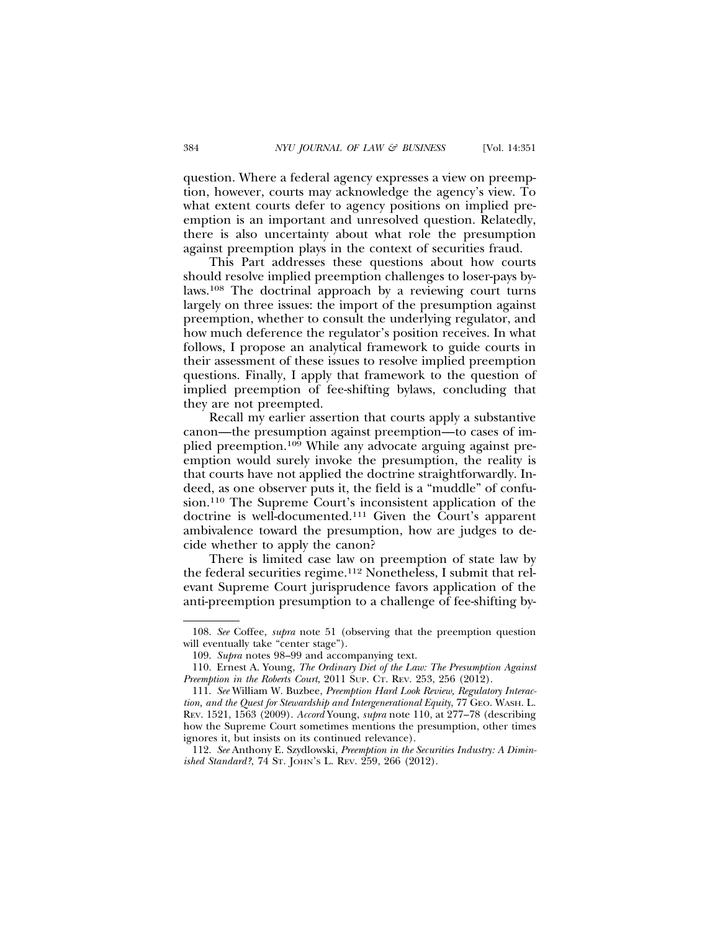question. Where a federal agency expresses a view on preemption, however, courts may acknowledge the agency's view. To what extent courts defer to agency positions on implied preemption is an important and unresolved question. Relatedly, there is also uncertainty about what role the presumption against preemption plays in the context of securities fraud.

This Part addresses these questions about how courts should resolve implied preemption challenges to loser-pays bylaws.108 The doctrinal approach by a reviewing court turns largely on three issues: the import of the presumption against preemption, whether to consult the underlying regulator, and how much deference the regulator's position receives. In what follows, I propose an analytical framework to guide courts in their assessment of these issues to resolve implied preemption questions. Finally, I apply that framework to the question of implied preemption of fee-shifting bylaws, concluding that they are not preempted.

Recall my earlier assertion that courts apply a substantive canon—the presumption against preemption—to cases of implied preemption.109 While any advocate arguing against preemption would surely invoke the presumption, the reality is that courts have not applied the doctrine straightforwardly. Indeed, as one observer puts it, the field is a "muddle" of confusion.110 The Supreme Court's inconsistent application of the doctrine is well-documented.111 Given the Court's apparent ambivalence toward the presumption, how are judges to decide whether to apply the canon?

There is limited case law on preemption of state law by the federal securities regime.112 Nonetheless, I submit that relevant Supreme Court jurisprudence favors application of the anti-preemption presumption to a challenge of fee-shifting by-

<sup>108.</sup> *See* Coffee, *supra* note 51 (observing that the preemption question will eventually take "center stage").

<sup>109.</sup> *Supra* notes 98–99 and accompanying text.

<sup>110.</sup> Ernest A. Young, *The Ordinary Diet of the Law: The Presumption Against Preemption in the Roberts Court*, 2011 SUP. CT. REV. 253, 256 (2012).

<sup>111.</sup> *See* William W. Buzbee, *Preemption Hard Look Review, Regulatory Interaction, and the Quest for Stewardship and Intergenerational Equity*, 77 GEO. WASH. L. REV. 1521, 1563 (2009). *Accord* Young, *supra* note 110, at 277–78 (describing how the Supreme Court sometimes mentions the presumption, other times ignores it, but insists on its continued relevance).

<sup>112.</sup> *See* Anthony E. Szydlowski, *Preemption in the Securities Industry: A Diminished Standard?*, 74 ST. JOHN'S L. REV. 259, 266 (2012).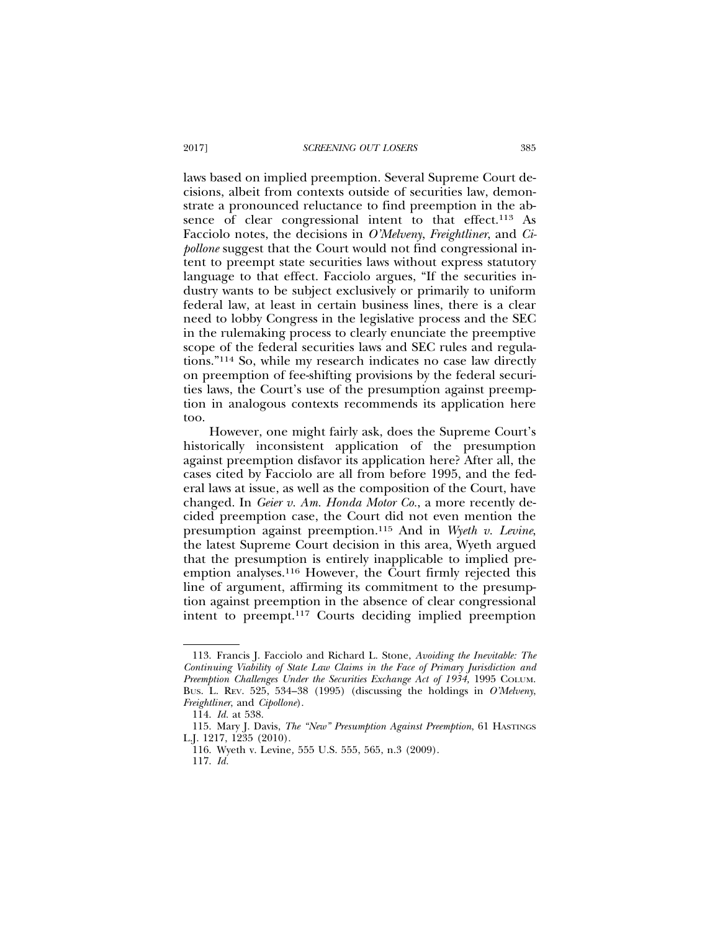laws based on implied preemption. Several Supreme Court decisions, albeit from contexts outside of securities law, demonstrate a pronounced reluctance to find preemption in the absence of clear congressional intent to that effect.<sup>113</sup> As Facciolo notes, the decisions in *O'Melveny*, *Freightliner*, and *Cipollone* suggest that the Court would not find congressional intent to preempt state securities laws without express statutory language to that effect. Facciolo argues, "If the securities industry wants to be subject exclusively or primarily to uniform federal law, at least in certain business lines, there is a clear need to lobby Congress in the legislative process and the SEC in the rulemaking process to clearly enunciate the preemptive scope of the federal securities laws and SEC rules and regulations."114 So, while my research indicates no case law directly on preemption of fee-shifting provisions by the federal securities laws, the Court's use of the presumption against preemption in analogous contexts recommends its application here too.

However, one might fairly ask, does the Supreme Court's historically inconsistent application of the presumption against preemption disfavor its application here? After all, the cases cited by Facciolo are all from before 1995, and the federal laws at issue, as well as the composition of the Court, have changed. In *Geier v. Am. Honda Motor Co.*, a more recently decided preemption case, the Court did not even mention the presumption against preemption.115 And in *Wyeth v. Levine*, the latest Supreme Court decision in this area, Wyeth argued that the presumption is entirely inapplicable to implied preemption analyses.116 However, the Court firmly rejected this line of argument, affirming its commitment to the presumption against preemption in the absence of clear congressional intent to preempt.117 Courts deciding implied preemption

<sup>113.</sup> Francis J. Facciolo and Richard L. Stone, *Avoiding the Inevitable: The Continuing Viability of State Law Claims in the Face of Primary Jurisdiction and Preemption Challenges Under the Securities Exchange Act of 1934,* 1995 COLUM. BUS. L. REV. 525, 534–38 (1995) (discussing the holdings in *O'Melveny*, *Freightliner*, and *Cipollone*).

<sup>114.</sup> *Id.* at 538.

<sup>115.</sup> Mary J. Davis, *The "New" Presumption Against Preemption*, 61 HASTINGS L.J. 1217, 1235 (2010).

<sup>116.</sup> Wyeth v. Levine*,* 555 U.S. 555, 565, n.3 (2009).

<sup>117.</sup> *Id.*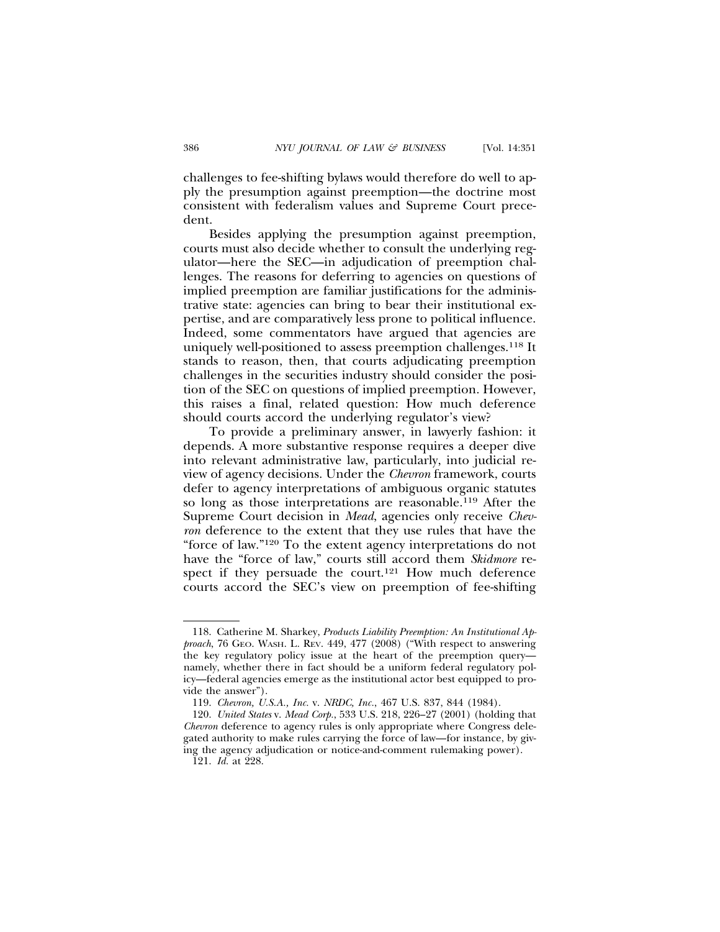challenges to fee-shifting bylaws would therefore do well to apply the presumption against preemption—the doctrine most consistent with federalism values and Supreme Court precedent.

Besides applying the presumption against preemption, courts must also decide whether to consult the underlying regulator—here the SEC—in adjudication of preemption challenges. The reasons for deferring to agencies on questions of implied preemption are familiar justifications for the administrative state: agencies can bring to bear their institutional expertise, and are comparatively less prone to political influence. Indeed, some commentators have argued that agencies are uniquely well-positioned to assess preemption challenges.118 It stands to reason, then, that courts adjudicating preemption challenges in the securities industry should consider the position of the SEC on questions of implied preemption. However, this raises a final, related question: How much deference should courts accord the underlying regulator's view?

To provide a preliminary answer, in lawyerly fashion: it depends. A more substantive response requires a deeper dive into relevant administrative law, particularly, into judicial review of agency decisions. Under the *Chevron* framework, courts defer to agency interpretations of ambiguous organic statutes so long as those interpretations are reasonable.119 After the Supreme Court decision in *Mead*, agencies only receive *Chevron* deference to the extent that they use rules that have the "force of law."120 To the extent agency interpretations do not have the "force of law," courts still accord them *Skidmore* respect if they persuade the court.<sup>121</sup> How much deference courts accord the SEC's view on preemption of fee-shifting

<sup>118.</sup> Catherine M. Sharkey, *Products Liability Preemption: An Institutional Approach*, 76 GEO. WASH. L. REV. 449, 477 (2008) ("With respect to answering the key regulatory policy issue at the heart of the preemption query namely, whether there in fact should be a uniform federal regulatory policy—federal agencies emerge as the institutional actor best equipped to provide the answer").

<sup>119.</sup> *Chevron, U.S.A., Inc.* v. *NRDC, Inc.*, 467 U.S. 837, 844 (1984).

<sup>120.</sup> *United States* v. *Mead Corp.*, 533 U.S. 218, 226–27 (2001) (holding that *Chevron* deference to agency rules is only appropriate where Congress delegated authority to make rules carrying the force of law—for instance, by giving the agency adjudication or notice-and-comment rulemaking power).

<sup>121.</sup> *Id.* at 228.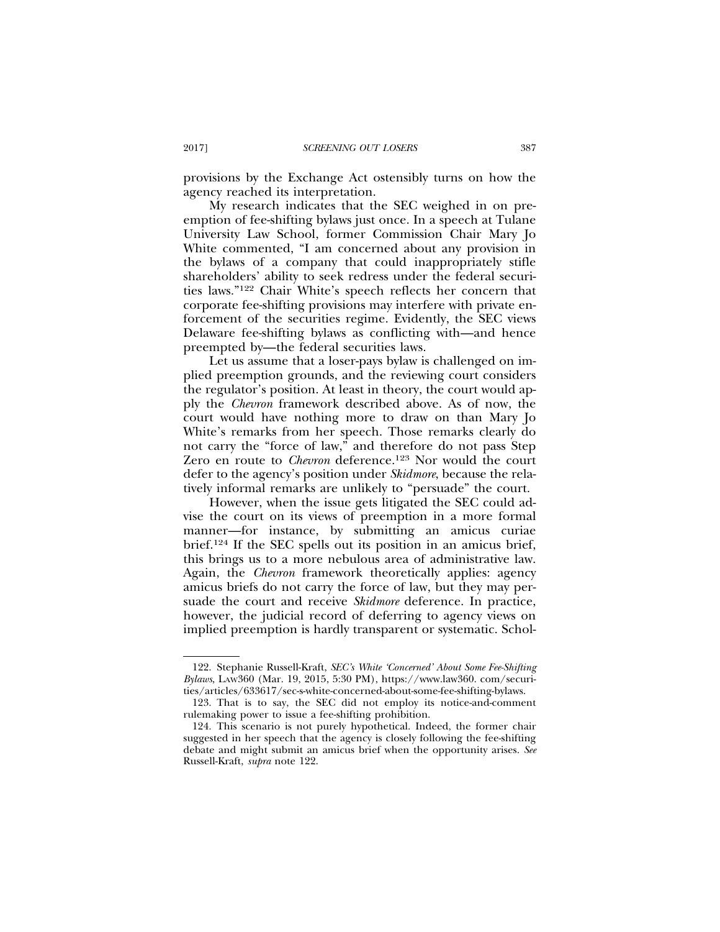provisions by the Exchange Act ostensibly turns on how the agency reached its interpretation.

My research indicates that the SEC weighed in on preemption of fee-shifting bylaws just once. In a speech at Tulane University Law School, former Commission Chair Mary Jo White commented, "I am concerned about any provision in the bylaws of a company that could inappropriately stifle shareholders' ability to seek redress under the federal securities laws."122 Chair White's speech reflects her concern that corporate fee-shifting provisions may interfere with private enforcement of the securities regime. Evidently, the SEC views Delaware fee-shifting bylaws as conflicting with—and hence preempted by—the federal securities laws.

Let us assume that a loser-pays bylaw is challenged on implied preemption grounds, and the reviewing court considers the regulator's position. At least in theory, the court would apply the *Chevron* framework described above. As of now, the court would have nothing more to draw on than Mary Jo White's remarks from her speech. Those remarks clearly do not carry the "force of law," and therefore do not pass Step Zero en route to *Chevron* deference.<sup>123</sup> Nor would the court defer to the agency's position under *Skidmore*, because the relatively informal remarks are unlikely to "persuade" the court.

However, when the issue gets litigated the SEC could advise the court on its views of preemption in a more formal manner—for instance, by submitting an amicus curiae brief.124 If the SEC spells out its position in an amicus brief, this brings us to a more nebulous area of administrative law. Again, the *Chevron* framework theoretically applies: agency amicus briefs do not carry the force of law, but they may persuade the court and receive *Skidmore* deference. In practice, however, the judicial record of deferring to agency views on implied preemption is hardly transparent or systematic. Schol-

<sup>122.</sup> Stephanie Russell-Kraft, *SEC's White 'Concerned' About Some Fee-Shifting Bylaws*, LAW360 (Mar. 19, 2015, 5:30 PM), https://www.law360. com/securities/articles/633617/sec-s-white-concerned-about-some-fee-shifting-bylaws.

<sup>123.</sup> That is to say, the SEC did not employ its notice-and-comment rulemaking power to issue a fee-shifting prohibition.

<sup>124.</sup> This scenario is not purely hypothetical. Indeed, the former chair suggested in her speech that the agency is closely following the fee-shifting debate and might submit an amicus brief when the opportunity arises. *See* Russell-Kraft, *supra* note 122.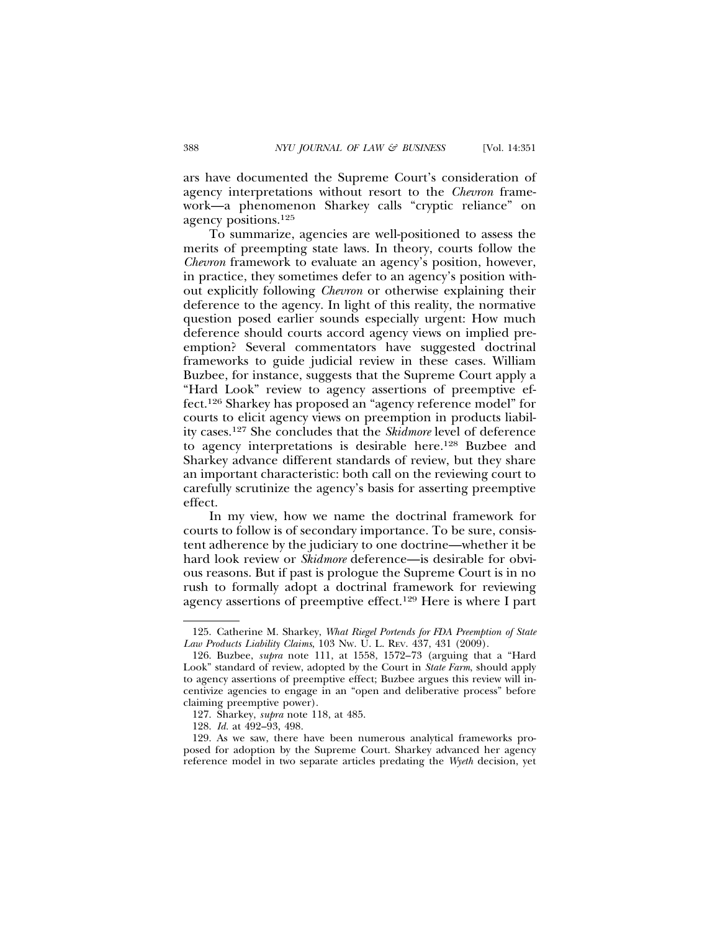ars have documented the Supreme Court's consideration of agency interpretations without resort to the *Chevron* framework—a phenomenon Sharkey calls "cryptic reliance" on agency positions.125

To summarize, agencies are well-positioned to assess the merits of preempting state laws. In theory, courts follow the *Chevron* framework to evaluate an agency's position, however, in practice, they sometimes defer to an agency's position without explicitly following *Chevron* or otherwise explaining their deference to the agency. In light of this reality, the normative question posed earlier sounds especially urgent: How much deference should courts accord agency views on implied preemption? Several commentators have suggested doctrinal frameworks to guide judicial review in these cases. William Buzbee, for instance, suggests that the Supreme Court apply a "Hard Look" review to agency assertions of preemptive effect.126 Sharkey has proposed an "agency reference model" for courts to elicit agency views on preemption in products liability cases.127 She concludes that the *Skidmore* level of deference to agency interpretations is desirable here.128 Buzbee and Sharkey advance different standards of review, but they share an important characteristic: both call on the reviewing court to carefully scrutinize the agency's basis for asserting preemptive effect.

In my view, how we name the doctrinal framework for courts to follow is of secondary importance. To be sure, consistent adherence by the judiciary to one doctrine—whether it be hard look review or *Skidmore* deference—is desirable for obvious reasons. But if past is prologue the Supreme Court is in no rush to formally adopt a doctrinal framework for reviewing agency assertions of preemptive effect.129 Here is where I part

128. *Id.* at 492–93, 498.

129. As we saw, there have been numerous analytical frameworks proposed for adoption by the Supreme Court. Sharkey advanced her agency reference model in two separate articles predating the *Wyeth* decision, yet

<sup>125.</sup> Catherine M. Sharkey, *What Riegel Portends for FDA Preemption of State Law Products Liability Claims*, 103 NW. U. L. REV. 437, 431 (2009).

<sup>126.</sup> Buzbee, *supra* note 111, at 1558, 1572–73 (arguing that a "Hard Look" standard of review, adopted by the Court in *State Farm*, should apply to agency assertions of preemptive effect; Buzbee argues this review will incentivize agencies to engage in an "open and deliberative process" before claiming preemptive power).

<sup>127.</sup> Sharkey, *supra* note 118, at 485.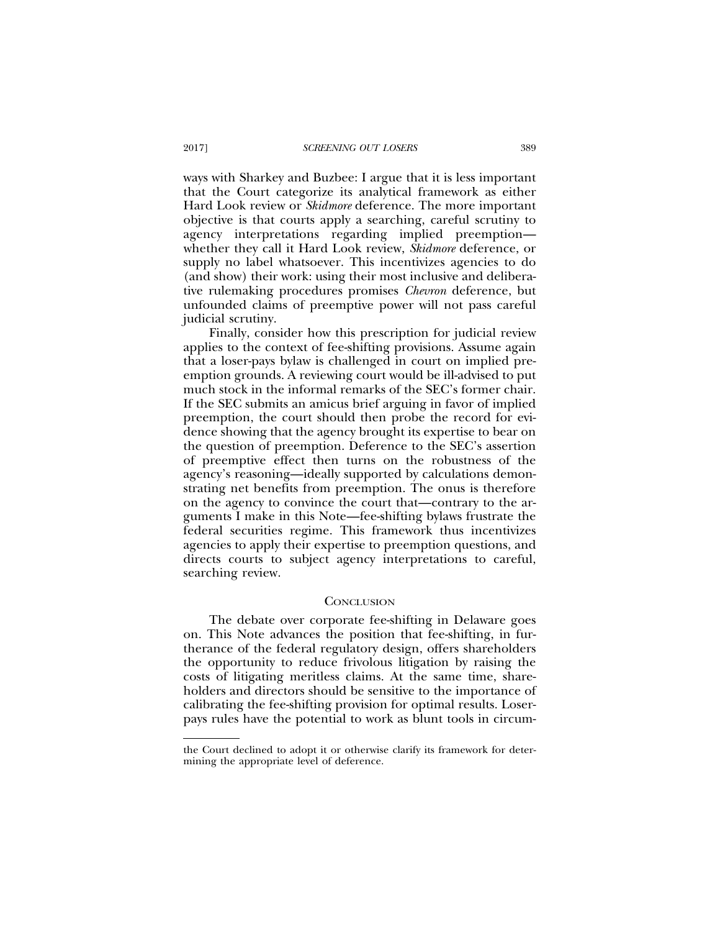ways with Sharkey and Buzbee: I argue that it is less important that the Court categorize its analytical framework as either Hard Look review or *Skidmore* deference. The more important objective is that courts apply a searching, careful scrutiny to agency interpretations regarding implied preemption whether they call it Hard Look review, *Skidmore* deference, or supply no label whatsoever. This incentivizes agencies to do (and show) their work: using their most inclusive and deliberative rulemaking procedures promises *Chevron* deference, but unfounded claims of preemptive power will not pass careful judicial scrutiny.

Finally, consider how this prescription for judicial review applies to the context of fee-shifting provisions. Assume again that a loser-pays bylaw is challenged in court on implied preemption grounds. A reviewing court would be ill-advised to put much stock in the informal remarks of the SEC's former chair. If the SEC submits an amicus brief arguing in favor of implied preemption, the court should then probe the record for evidence showing that the agency brought its expertise to bear on the question of preemption. Deference to the SEC's assertion of preemptive effect then turns on the robustness of the agency's reasoning—ideally supported by calculations demonstrating net benefits from preemption. The onus is therefore on the agency to convince the court that—contrary to the arguments I make in this Note—fee-shifting bylaws frustrate the federal securities regime. This framework thus incentivizes agencies to apply their expertise to preemption questions, and directs courts to subject agency interpretations to careful, searching review.

#### **CONCLUSION**

The debate over corporate fee-shifting in Delaware goes on. This Note advances the position that fee-shifting, in furtherance of the federal regulatory design, offers shareholders the opportunity to reduce frivolous litigation by raising the costs of litigating meritless claims. At the same time, shareholders and directors should be sensitive to the importance of calibrating the fee-shifting provision for optimal results. Loserpays rules have the potential to work as blunt tools in circum-

the Court declined to adopt it or otherwise clarify its framework for determining the appropriate level of deference.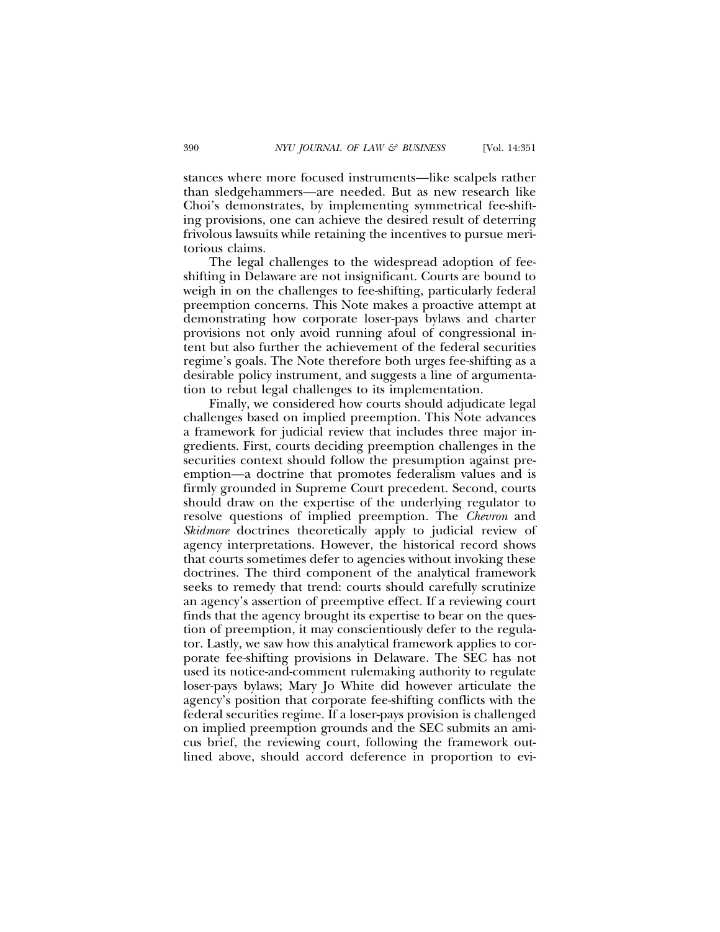stances where more focused instruments—like scalpels rather than sledgehammers—are needed. But as new research like Choi's demonstrates, by implementing symmetrical fee-shifting provisions, one can achieve the desired result of deterring frivolous lawsuits while retaining the incentives to pursue meritorious claims.

The legal challenges to the widespread adoption of feeshifting in Delaware are not insignificant. Courts are bound to weigh in on the challenges to fee-shifting, particularly federal preemption concerns. This Note makes a proactive attempt at demonstrating how corporate loser-pays bylaws and charter provisions not only avoid running afoul of congressional intent but also further the achievement of the federal securities regime's goals. The Note therefore both urges fee-shifting as a desirable policy instrument, and suggests a line of argumentation to rebut legal challenges to its implementation.

Finally, we considered how courts should adjudicate legal challenges based on implied preemption. This Note advances a framework for judicial review that includes three major ingredients. First, courts deciding preemption challenges in the securities context should follow the presumption against preemption—a doctrine that promotes federalism values and is firmly grounded in Supreme Court precedent. Second, courts should draw on the expertise of the underlying regulator to resolve questions of implied preemption. The *Chevron* and *Skidmore* doctrines theoretically apply to judicial review of agency interpretations. However, the historical record shows that courts sometimes defer to agencies without invoking these doctrines. The third component of the analytical framework seeks to remedy that trend: courts should carefully scrutinize an agency's assertion of preemptive effect. If a reviewing court finds that the agency brought its expertise to bear on the question of preemption, it may conscientiously defer to the regulator. Lastly, we saw how this analytical framework applies to corporate fee-shifting provisions in Delaware. The SEC has not used its notice-and-comment rulemaking authority to regulate loser-pays bylaws; Mary Jo White did however articulate the agency's position that corporate fee-shifting conflicts with the federal securities regime. If a loser-pays provision is challenged on implied preemption grounds and the SEC submits an amicus brief, the reviewing court, following the framework outlined above, should accord deference in proportion to evi-